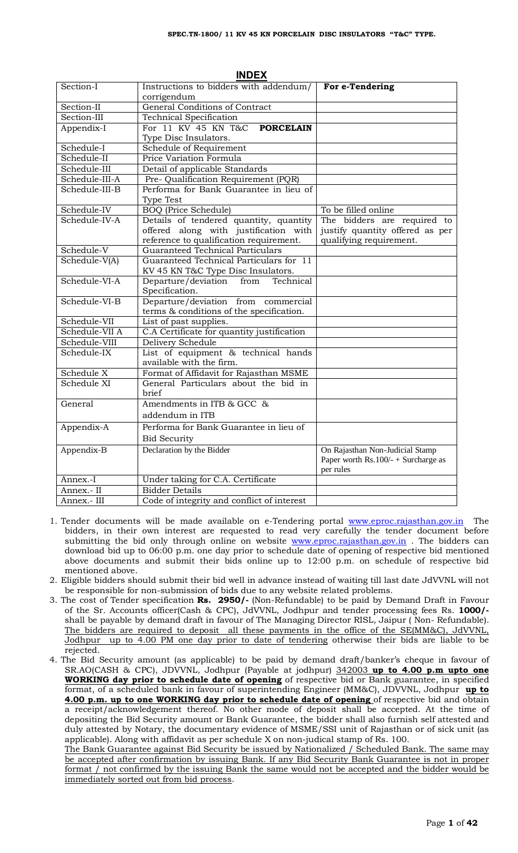| INDEV          |                                                                 |                                        |  |  |  |
|----------------|-----------------------------------------------------------------|----------------------------------------|--|--|--|
| Section-I      | Instructions to bidders with addendum/<br>corrigendum           | For e-Tendering                        |  |  |  |
| Section-II     | General Conditions of Contract                                  |                                        |  |  |  |
| Section-III    | <b>Technical Specification</b>                                  |                                        |  |  |  |
| Appendix-I     | For 11 KV 45 KN T&C<br><b>PORCELAIN</b>                         |                                        |  |  |  |
|                | Type Disc Insulators.                                           |                                        |  |  |  |
| Schedule-I     | Schedule of Requirement                                         |                                        |  |  |  |
| Schedule-II    | Price Variation Formula                                         |                                        |  |  |  |
| Schedule-III   | Detail of applicable Standards                                  |                                        |  |  |  |
| Schedule-III-A | Pre- Qualification Requirement (PQR)                            |                                        |  |  |  |
| Schedule-III-B | Performa for Bank Guarantee in lieu of                          |                                        |  |  |  |
|                | <b>Type Test</b>                                                |                                        |  |  |  |
| Schedule-IV    | <b>BOQ</b> (Price Schedule)                                     | To be filled online                    |  |  |  |
| Schedule-IV-A  | Details of tendered quantity, quantity                          | The bidders are required to            |  |  |  |
|                | offered along with justification with                           | justify quantity offered as per        |  |  |  |
|                | reference to qualification requirement.                         | qualifying requirement.                |  |  |  |
| Schedule-V     | Guaranteed Technical Particulars                                |                                        |  |  |  |
| Schedule-V(A)  | Guaranteed Technical Particulars for 11                         |                                        |  |  |  |
|                | KV 45 KN T&C Type Disc Insulators.                              |                                        |  |  |  |
| Schedule-VI-A  | Departure/deviation from Technical<br>Specification.            |                                        |  |  |  |
| Schedule-VI-B  | Departure/deviation from commercial                             |                                        |  |  |  |
|                | terms & conditions of the specification.                        |                                        |  |  |  |
| Schedule-VII   | List of past supplies.                                          |                                        |  |  |  |
| Schedule-VII A | C.A Certificate for quantity justification                      |                                        |  |  |  |
| Schedule-VIII  | Delivery Schedule                                               |                                        |  |  |  |
| Schedule-IX    | List of equipment & technical hands<br>available with the firm. |                                        |  |  |  |
| Schedule X     | Format of Affidavit for Rajasthan MSME                          |                                        |  |  |  |
| Schedule XI    | General Particulars about the bid in                            |                                        |  |  |  |
|                | <b>brief</b>                                                    |                                        |  |  |  |
| General        | Amendments in ITB & GCC &                                       |                                        |  |  |  |
|                | addendum in ITB                                                 |                                        |  |  |  |
| Appendix-A     | Performa for Bank Guarantee in lieu of                          |                                        |  |  |  |
|                | <b>Bid Security</b>                                             |                                        |  |  |  |
| Appendix-B     | Declaration by the Bidder                                       | On Rajasthan Non-Judicial Stamp        |  |  |  |
|                |                                                                 | Paper worth Rs. $100/- +$ Surcharge as |  |  |  |
|                |                                                                 | per rules                              |  |  |  |
| Annex.-I       | Under taking for C.A. Certificate                               |                                        |  |  |  |
| Annex.- II     | <b>Bidder Details</b>                                           |                                        |  |  |  |
| Annex.- III    | Code of integrity and conflict of interest                      |                                        |  |  |  |

**INDEX**

- 1. Tender documents will be made available on e-Tendering portal [www.eproc.rajasthan.gov.in](http://www.eproc.rajasthan.gov.in/) The bidders, in their own interest are requested to read very carefully the tender document before submitting the bid only through online on website [www.eproc.rajasthan.gov.in](http://www.eproc.rajasthan.gov.in/) . The bidders can download bid up to 06:00 p.m. one day prior to schedule date of opening of respective bid mentioned above documents and submit their bids online up to 12:00 p.m. on schedule of respective bid mentioned above.
- 2. Eligible bidders should submit their bid well in advance instead of waiting till last date JdVVNL will not be responsible for non-submission of bids due to any website related problems.
- 3. The cost of Tender specification **Rs. 2950/-** (Non-Refundable) to be paid by Demand Draft in Favour of the Sr. Accounts officer(Cash & CPC), JdVVNL, Jodhpur and tender processing fees Rs. **1000/** shall be payable by demand draft in favour of The Managing Director RISL, Jaipur ( Non- Refundable). The bidders are required to deposit all these payments in the office of the SE(MM&C), JdVVNL, Jodhpur up to 4.00 PM one day prior to date of tendering otherwise their bids are liable to be rejected.
- 4. The Bid Security amount (as applicable) to be paid by demand draft/banker's cheque in favour of SR.AO(CASH & CPC), JDVVNL, Jodhpur (Payable at jodhpur) 342003 **up to 4.00 p.m upto one WORKING day prior to schedule date of opening** of respective bid or Bank guarantee, in specified format, of a scheduled bank in favour of superintending Engineer (MM&C), JDVVNL, Jodhpur **up to 4.00 p.m. up to one WORKING day prior to schedule date of opening** of respective bid and obtain a receipt/acknowledgement thereof. No other mode of deposit shall be accepted. At the time of depositing the Bid Security amount or Bank Guarantee, the bidder shall also furnish self attested and duly attested by Notary, the documentary evidence of MSME/SSI unit of Rajasthan or of sick unit (as applicable). Along with affidavit as per schedule X on non-judical stamp of Rs. 100. The Bank Guarantee against Bid Security be issued by Nationalized / Scheduled Bank. The same may

be accepted after confirmation by issuing Bank. If any Bid Security Bank Guarantee is not in proper format / not confirmed by the issuing Bank the same would not be accepted and the bidder would be immediately sorted out from bid process.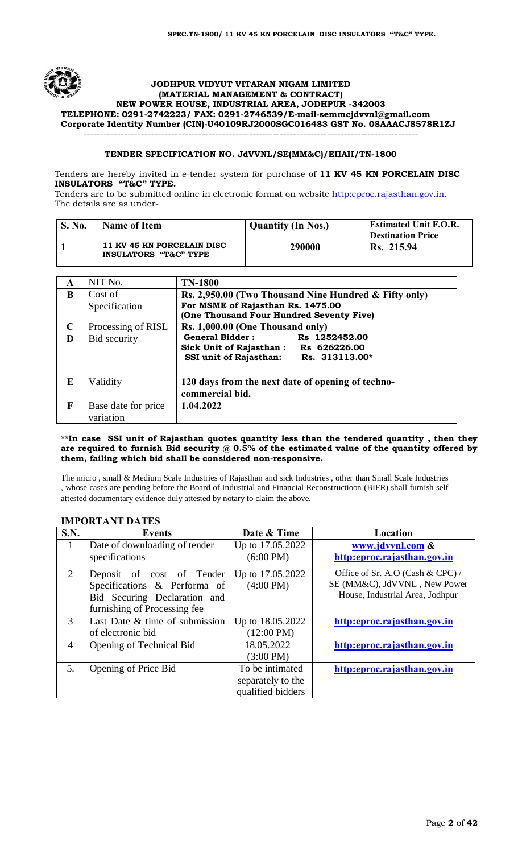

#### **JODHPUR VIDYUT VITARAN NIGAM LIMITED (MATERIAL MANAGEMENT & CONTRACT) NEW POWER HOUSE, INDUSTRIAL AREA, JODHPUR -342003 TELEPHONE: 0291-2742223/ FAX: 0291-2746539/E-mai[l-semmcjdvvnl@gmail.com](mailto:semmcjdvvnl@gmail.com) Corporate Identity Number (CIN)-U40109RJ2000SGC016483 GST No. 08AAACJ8578R1ZJ** ---------------------------------------------------------------------------------------------------

## **TENDER SPECIFICATION NO. JdVVNL/SE(MM&C)/EIIAII/TN-1800**

Tenders are hereby invited in e-tender system for purchase of **11 KV 45 KN PORCELAIN DISC INSULATORS "T&C" TYPE.** 

Tenders are to be submitted online in electronic format on website [http:eproc.rajasthan.gov.in](http://www.eproc.rajasthan.gov.in/nicgep/app). The details are as under-

| <b>S. No.</b> | <b>Name of Item</b>                                 | <b>Quantity (In Nos.)</b> | <b>Estimated Unit F.O.R.</b><br><b>Destination Price</b> |
|---------------|-----------------------------------------------------|---------------------------|----------------------------------------------------------|
|               | 11 KV 45 KN PORCELAIN DISC<br>INSULATORS "T&C" TYPE | 290000                    | Rs. 215.94                                               |

| A           | NIT No.             | <b>TN-1800</b>                                        |
|-------------|---------------------|-------------------------------------------------------|
| B           | Cost of             | Rs. 2,950.00 (Two Thousand Nine Hundred & Fifty only) |
|             | Specification       | For MSME of Rajasthan Rs. 1475.00                     |
|             |                     | (One Thousand Four Hundred Seventy Five)              |
| $\mathbf C$ | Processing of RISL  | Rs. 1,000.00 (One Thousand only)                      |
| D           | Bid security        | <b>General Bidder:</b><br>Rs 1252452.00               |
|             |                     | Sick Unit of Rajasthan :<br>Rs 626226.00              |
|             |                     | <b>SSI unit of Rajasthan:</b><br>Rs. 313113.00*       |
|             |                     |                                                       |
| E           | Validity            | 120 days from the next date of opening of techno-     |
|             |                     | commercial bid.                                       |
| F           | Base date for price | 1.04.2022                                             |
|             | variation           |                                                       |

#### **\*\*In case SSI unit of Rajasthan quotes quantity less than the tendered quantity , then they are required to furnish Bid security @ 0.5% of the estimated value of the quantity offered by them, failing which bid shall be considered non-responsive.**

The micro , small & Medium Scale Industries of Rajasthan and sick Industries , other than Small Scale Industries , whose cases are pending before the Board of Industrial and Financial Reconstructioon (BIFR) shall furnish self attested documentary evidence duly attested by notary to claim the above.

## **IMPORTANT DATES**

| S.N.                        | <b>Events</b>                  | Date & Time          | Location                         |
|-----------------------------|--------------------------------|----------------------|----------------------------------|
| 1                           | Date of downloading of tender  | Up to 17.05.2022     | www.jdvvnl.com &                 |
|                             | specifications                 | $(6:00 \text{ PM})$  | http:eproc.rajasthan.gov.in      |
| $\mathcal{D}_{\mathcal{L}}$ | Deposit of cost of Tender      | Up to 17.05.2022     | Office of Sr. A.O (Cash & CPC) / |
|                             | Specifications & Performa of   | $(4:00 \text{ PM})$  | SE (MM&C), JdVVNL, New Power     |
|                             | Bid Securing Declaration and   |                      | House, Industrial Area, Jodhpur  |
|                             | furnishing of Processing fee   |                      |                                  |
| $\mathcal{F}$               | Last Date & time of submission | Up to 18.05.2022     | http:eproc.rajasthan.gov.in      |
|                             | of electronic bid              | $(12:00 \text{ PM})$ |                                  |
| 4                           | Opening of Technical Bid       | 18.05.2022           | http:eproc.rajasthan.gov.in      |
|                             |                                | $(3:00 \text{ PM})$  |                                  |
| 5.                          | Opening of Price Bid           | To be intimated      | http:eproc.rajasthan.gov.in      |
|                             |                                | separately to the    |                                  |
|                             |                                | qualified bidders    |                                  |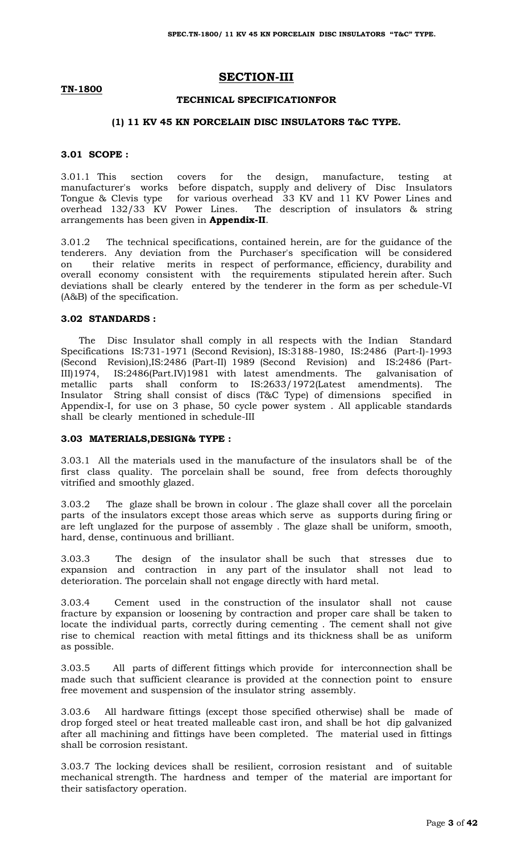## **SECTION-III**

#### **TN-1800**

#### **TECHNICAL SPECIFICATIONFOR**

#### **(1) 11 KV 45 KN PORCELAIN DISC INSULATORS T&C TYPE.**

#### **3.01 SCOPE :**

3.01.1 This section covers for the design, manufacture, testing at manufacturer's works before dispatch, supply and delivery of Disc Insulators Tongue & Clevis type for various overhead 33 KV and 11 KV Power Lines and overhead 132/33 KV Power Lines. The description of insulators & string arrangements has been given in **Appendix-II**.

3.01.2 The technical specifications, contained herein, are for the guidance of the tenderers. Any deviation from the Purchaser's specification will be considered on their relative merits in respect of performance, efficiency, durability and overall economy consistent with the requirements stipulated herein after. Such deviations shall be clearly entered by the tenderer in the form as per schedule-VI (A&B) of the specification.

#### **3.02 STANDARDS :**

 The Disc Insulator shall comply in all respects with the Indian Standard Specifications IS:731-1971 (Second Revision), IS:3188-1980, IS:2486 (Part-I)-1993 (Second Revision),IS:2486 (Part-II) 1989 (Second Revision) and IS:2486 (Part-III)1974, IS:2486(Part.IV)1981 with latest amendments. The galvanisation of metallic parts shall conform to IS:2633/1972(Latest amendments). The Insulator String shall consist of discs (T&C Type) of dimensions specified in Appendix-I, for use on 3 phase, 50 cycle power system . All applicable standards shall be clearly mentioned in schedule-III

#### **3.03 MATERIALS,DESIGN& TYPE :**

3.03.1 All the materials used in the manufacture of the insulators shall be of the first class quality. The porcelain shall be sound, free from defects thoroughly vitrified and smoothly glazed.

3.03.2 The glaze shall be brown in colour . The glaze shall cover all the porcelain parts of the insulators except those areas which serve as supports during firing or are left unglazed for the purpose of assembly . The glaze shall be uniform, smooth, hard, dense, continuous and brilliant.

3.03.3 The design of the insulator shall be such that stresses due to expansion and contraction in any part of the insulator shall not lead to deterioration. The porcelain shall not engage directly with hard metal.

3.03.4 Cement used in the construction of the insulator shall not cause fracture by expansion or loosening by contraction and proper care shall be taken to locate the individual parts, correctly during cementing . The cement shall not give rise to chemical reaction with metal fittings and its thickness shall be as uniform as possible.

3.03.5 All parts of different fittings which provide for interconnection shall be made such that sufficient clearance is provided at the connection point to ensure free movement and suspension of the insulator string assembly.

3.03.6 All hardware fittings (except those specified otherwise) shall be made of drop forged steel or heat treated malleable cast iron, and shall be hot dip galvanized after all machining and fittings have been completed. The material used in fittings shall be corrosion resistant.

3.03.7 The locking devices shall be resilient, corrosion resistant and of suitable mechanical strength. The hardness and temper of the material are important for their satisfactory operation.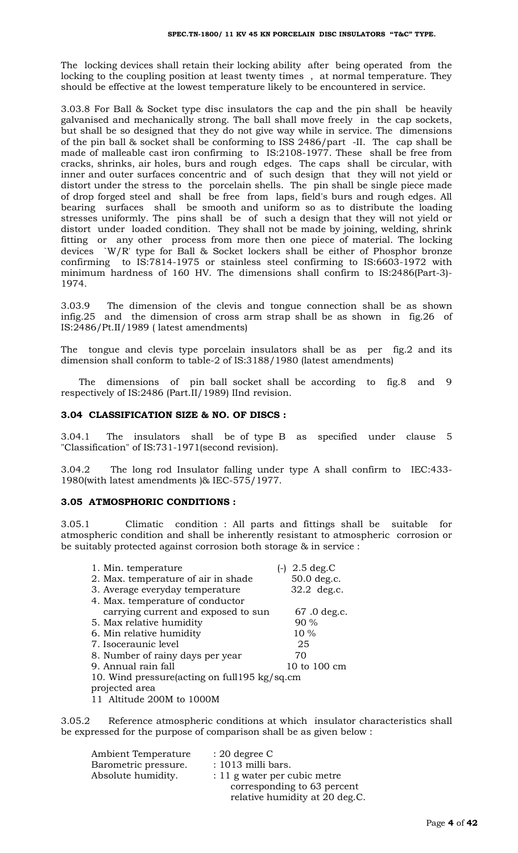The locking devices shall retain their locking ability after being operated from the locking to the coupling position at least twenty times , at normal temperature. They should be effective at the lowest temperature likely to be encountered in service.

3.03.8 For Ball & Socket type disc insulators the cap and the pin shall be heavily galvanised and mechanically strong. The ball shall move freely in the cap sockets, but shall be so designed that they do not give way while in service. The dimensions of the pin ball & socket shall be conforming to ISS 2486/part -II. The cap shall be made of malleable cast iron confirming to IS:2108-1977. These shall be free from cracks, shrinks, air holes, burs and rough edges. The caps shall be circular, with inner and outer surfaces concentric and of such design that they will not yield or distort under the stress to the porcelain shells. The pin shall be single piece made of drop forged steel and shall be free from laps, field's burs and rough edges. All bearing surfaces shall be smooth and uniform so as to distribute the loading stresses uniformly. The pins shall be of such a design that they will not yield or distort under loaded condition. They shall not be made by joining, welding, shrink fitting or any other process from more then one piece of material. The locking devices `W/R' type for Ball & Socket lockers shall be either of Phosphor bronze confirming to IS:7814-1975 or stainless steel confirming to IS:6603-1972 with minimum hardness of 160 HV. The dimensions shall confirm to IS:2486(Part-3)- 1974.

3.03.9 The dimension of the clevis and tongue connection shall be as shown infig.25 and the dimension of cross arm strap shall be as shown in fig.26 of IS:2486/Pt.II/1989 ( latest amendments)

The tongue and clevis type porcelain insulators shall be as per fig.2 and its dimension shall conform to table-2 of IS:3188/1980 (latest amendments)

 The dimensions of pin ball socket shall be according to fig.8 and 9 respectively of IS:2486 (Part.II/1989) IInd revision.

#### **3.04 CLASSIFICATION SIZE & NO. OF DISCS :**

3.04.1 The insulators shall be of type B as specified under clause 5 "Classification" of IS:731-1971(second revision).

3.04.2 The long rod Insulator falling under type A shall confirm to IEC:433- 1980(with latest amendments )& IEC-575/1977.

#### **3.05 ATMOSPHORIC CONDITIONS :**

3.05.1 Climatic condition : All parts and fittings shall be suitable for atmospheric condition and shall be inherently resistant to atmospheric corrosion or be suitably protected against corrosion both storage & in service :

| 1. Min. temperature                             | $(-)$ 2.5 deg.C |
|-------------------------------------------------|-----------------|
| 2. Max. temperature of air in shade             | 50.0 deg.c.     |
| 3. Average everyday temperature                 | 32.2 deg.c.     |
| 4. Max. temperature of conductor                |                 |
| carrying current and exposed to sun             | 67.0 deg.c.     |
| 5. Max relative humidity                        | 90 %            |
| 6. Min relative humidity                        | 10 %            |
| 7. Isoceraunic level                            | 25              |
| 8. Number of rainy days per year                | 70              |
| 9. Annual rain fall                             | 10 to 100 cm    |
| 10. Wind pressure (acting on full 195 kg/sq.cm) |                 |
| projected area                                  |                 |
| 11 Altitude 200M to 1000M                       |                 |

3.05.2 Reference atmospheric conditions at which insulator characteristics shall be expressed for the purpose of comparison shall be as given below :

| Ambient Temperature  | $: 20$ degree C                |
|----------------------|--------------------------------|
| Barometric pressure. | : 1013 milli bars.             |
| Absolute humidity.   | $: 11$ g water per cubic metre |
|                      | corresponding to 63 percent    |
|                      | relative humidity at 20 deg.C. |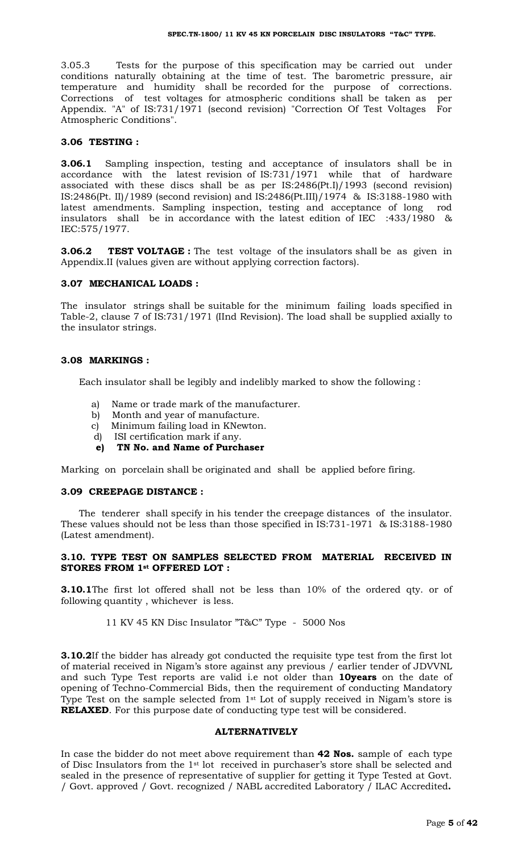3.05.3 Tests for the purpose of this specification may be carried out under conditions naturally obtaining at the time of test. The barometric pressure, air temperature and humidity shall be recorded for the purpose of corrections. Corrections of test voltages for atmospheric conditions shall be taken as per Appendix. "A" of IS:731/1971 (second revision) "Correction Of Test Voltages For Atmospheric Conditions".

#### **3.06 TESTING :**

**3.06.1** Sampling inspection, testing and acceptance of insulators shall be in accordance with the latest revision of  $IS:731/1971$  while that of hardware associated with these discs shall be as per IS:2486(Pt.I)/1993 (second revision) IS:2486(Pt. II)/1989 (second revision) and IS:2486(Pt.III)/1974 & IS:3188-1980 with latest amendments. Sampling inspection, testing and acceptance of long rod insulators shall be in accordance with the latest edition of IEC :433/1980 & IEC:575/1977.

**3.06.2 TEST VOLTAGE :** The test voltage of the insulators shall be as given in Appendix.II (values given are without applying correction factors).

#### **3.07 MECHANICAL LOADS :**

The insulator strings shall be suitable for the minimum failing loads specified in Table-2, clause 7 of IS:731/1971 (IInd Revision). The load shall be supplied axially to the insulator strings.

#### **3.08 MARKINGS :**

Each insulator shall be legibly and indelibly marked to show the following :

- a) Name or trade mark of the manufacturer.
- b) Month and year of manufacture.
- c) Minimum failing load in KNewton.
- d) ISI certification mark if any.
- **e) TN No. and Name of Purchaser**

Marking on porcelain shall be originated and shall be applied before firing.

#### **3.09 CREEPAGE DISTANCE :**

 The tenderer shall specify in his tender the creepage distances of the insulator. These values should not be less than those specified in IS:731-1971 & IS:3188-1980 (Latest amendment).

#### **3.10. TYPE TEST ON SAMPLES SELECTED FROM MATERIAL RECEIVED IN STORES FROM 1st OFFERED LOT :**

**3.10.1**The first lot offered shall not be less than 10% of the ordered qty. or of following quantity , whichever is less.

11 KV 45 KN Disc Insulator "T&C" Type - 5000 Nos

**3.10.2**If the bidder has already got conducted the requisite type test from the first lot of material received in Nigam's store against any previous / earlier tender of JDVVNL and such Type Test reports are valid i.e not older than **10years** on the date of opening of Techno-Commercial Bids, then the requirement of conducting Mandatory Type Test on the sample selected from 1<sup>st</sup> Lot of supply received in Nigam's store is **RELAXED**. For this purpose date of conducting type test will be considered.

## **ALTERNATIVELY**

In case the bidder do not meet above requirement than **42 Nos.** sample of each type of Disc Insulators from the 1st lot received in purchaser's store shall be selected and sealed in the presence of representative of supplier for getting it Type Tested at Govt. / Govt. approved / Govt. recognized / NABL accredited Laboratory / ILAC Accredited**.**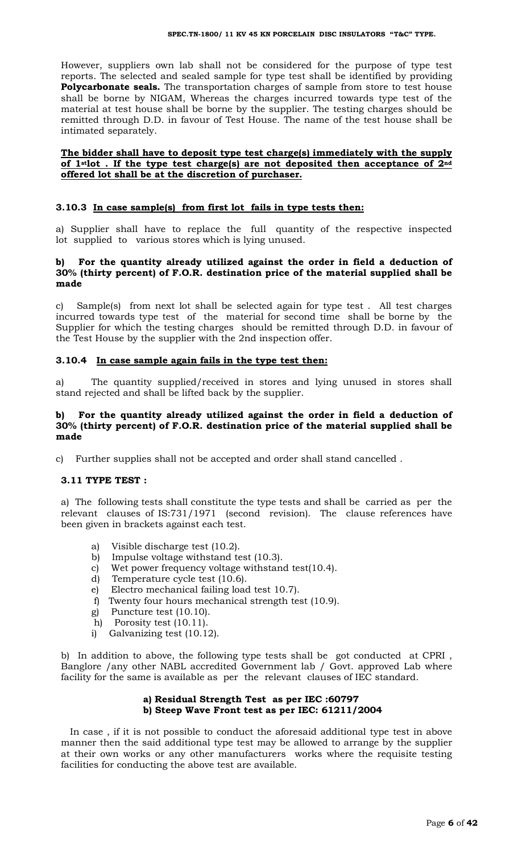However, suppliers own lab shall not be considered for the purpose of type test reports. The selected and sealed sample for type test shall be identified by providing **Polycarbonate seals.** The transportation charges of sample from store to test house shall be borne by NIGAM, Whereas the charges incurred towards type test of the material at test house shall be borne by the supplier. The testing charges should be remitted through D.D. in favour of Test House. The name of the test house shall be intimated separately.

## **The bidder shall have to deposit type test charge(s) immediately with the supply of 1stlot . If the type test charge(s) are not deposited then acceptance of 2nd offered lot shall be at the discretion of purchaser.**

## **3.10.3 In case sample(s) from first lot fails in type tests then:**

a) Supplier shall have to replace the full quantity of the respective inspected lot supplied to various stores which is lying unused.

## **b) For the quantity already utilized against the order in field a deduction of 30% (thirty percent) of F.O.R. destination price of the material supplied shall be made**

c) Sample(s) from next lot shall be selected again for type test . All test charges incurred towards type test of the material for second time shall be borne by the Supplier for which the testing charges should be remitted through D.D. in favour of the Test House by the supplier with the 2nd inspection offer.

#### **3.10.4 In case sample again fails in the type test then:**

a) The quantity supplied/received in stores and lying unused in stores shall stand rejected and shall be lifted back by the supplier.

#### **b) For the quantity already utilized against the order in field a deduction of 30% (thirty percent) of F.O.R. destination price of the material supplied shall be made**

c) Further supplies shall not be accepted and order shall stand cancelled .

#### **3.11 TYPE TEST :**

a) The following tests shall constitute the type tests and shall be carried as per the relevant clauses of IS:731/1971 (second revision). The clause references have been given in brackets against each test.

- a) Visible discharge test (10.2).
- b) Impulse voltage withstand test (10.3).
- c) Wet power frequency voltage withstand test(10.4).
- d) Temperature cycle test (10.6).
- e) Electro mechanical failing load test 10.7).
- f) Twenty four hours mechanical strength test (10.9).
- g) Puncture test (10.10).
- h) Porosity test (10.11).
- i) Galvanizing test (10.12).

b) In addition to above, the following type tests shall be got conducted at CPRI , Banglore /any other NABL accredited Government lab / Govt. approved Lab where facility for the same is available as per the relevant clauses of IEC standard.

## **a) Residual Strength Test as per IEC :60797 b) Steep Wave Front test as per IEC: 61211/2004**

 In case , if it is not possible to conduct the aforesaid additional type test in above manner then the said additional type test may be allowed to arrange by the supplier at their own works or any other manufacturers works where the requisite testing facilities for conducting the above test are available.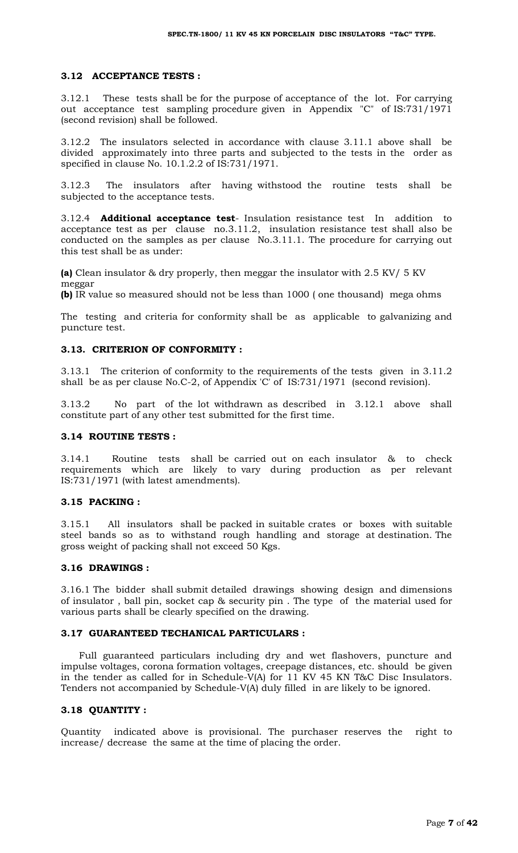## **3.12 ACCEPTANCE TESTS :**

3.12.1 These tests shall be for the purpose of acceptance of the lot. For carrying out acceptance test sampling procedure given in Appendix "C" of IS:731/1971 (second revision) shall be followed.

3.12.2 The insulators selected in accordance with clause 3.11.1 above shall be divided approximately into three parts and subjected to the tests in the order as specified in clause No. 10.1.2.2 of IS:731/1971.

3.12.3 The insulators after having withstood the routine tests shall be subjected to the acceptance tests.

3.12.4 **Additional acceptance test**- Insulation resistance test In addition to acceptance test as per clause no.3.11.2, insulation resistance test shall also be conducted on the samples as per clause No.3.11.1. The procedure for carrying out this test shall be as under:

**(a)** Clean insulator & dry properly, then meggar the insulator with 2.5 KV/ 5 KV meggar

**(b)** IR value so measured should not be less than 1000 ( one thousand) mega ohms

The testing and criteria for conformity shall be as applicable to galvanizing and puncture test.

## **3.13. CRITERION OF CONFORMITY :**

3.13.1 The criterion of conformity to the requirements of the tests given in 3.11.2 shall be as per clause No.C-2, of Appendix 'C' of IS:731/1971 (second revision).

3.13.2 No part of the lot withdrawn as described in 3.12.1 above shall constitute part of any other test submitted for the first time.

#### **3.14 ROUTINE TESTS :**

3.14.1 Routine tests shall be carried out on each insulator & to check requirements which are likely to vary during production as per relevant IS:731/1971 (with latest amendments).

#### **3.15 PACKING :**

3.15.1 All insulators shall be packed in suitable crates or boxes with suitable steel bands so as to withstand rough handling and storage at destination. The gross weight of packing shall not exceed 50 Kgs.

#### **3.16 DRAWINGS :**

3.16.1 The bidder shall submit detailed drawings showing design and dimensions of insulator , ball pin, socket cap & security pin . The type of the material used for various parts shall be clearly specified on the drawing.

#### **3.17 GUARANTEED TECHANICAL PARTICULARS :**

 Full guaranteed particulars including dry and wet flashovers, puncture and impulse voltages, corona formation voltages, creepage distances, etc. should be given in the tender as called for in Schedule-V(A) for 11 KV 45 KN T&C Disc Insulators. Tenders not accompanied by Schedule-V(A) duly filled in are likely to be ignored.

#### **3.18 QUANTITY :**

Quantity indicated above is provisional. The purchaser reserves the right to increase/ decrease the same at the time of placing the order.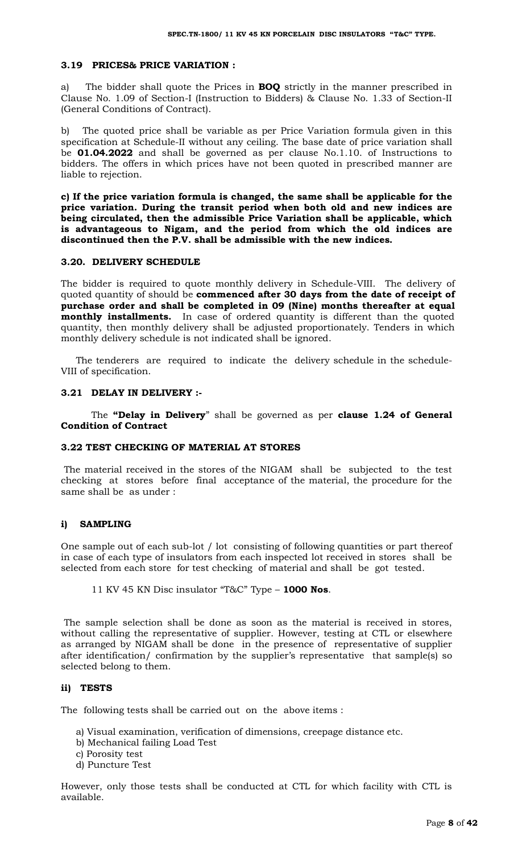## **3.19 PRICES& PRICE VARIATION :**

a) The bidder shall quote the Prices in **BOQ** strictly in the manner prescribed in Clause No. 1.09 of Section-I (Instruction to Bidders) & Clause No. 1.33 of Section-II (General Conditions of Contract).

b) The quoted price shall be variable as per Price Variation formula given in this specification at Schedule-II without any ceiling. The base date of price variation shall be **01.04.2022** and shall be governed as per clause No.1.10. of Instructions to bidders. The offers in which prices have not been quoted in prescribed manner are liable to rejection.

**c) If the price variation formula is changed, the same shall be applicable for the price variation. During the transit period when both old and new indices are being circulated, then the admissible Price Variation shall be applicable, which is advantageous to Nigam, and the period from which the old indices are discontinued then the P.V. shall be admissible with the new indices.**

#### **3.20. DELIVERY SCHEDULE**

The bidder is required to quote monthly delivery in Schedule-VIII. The delivery of quoted quantity of should be **commenced after 30 days from the date of receipt of purchase order and shall be completed in 09 (Nine) months thereafter at equal monthly installments.** In case of ordered quantity is different than the quoted quantity, then monthly delivery shall be adjusted proportionately. Tenders in which monthly delivery schedule is not indicated shall be ignored.

 The tenderers are required to indicate the delivery schedule in the schedule-VIII of specification.

#### **3.21 DELAY IN DELIVERY :-**

The **"Delay in Delivery**" shall be governed as per **clause 1.24 of General Condition of Contract**

## **3.22 TEST CHECKING OF MATERIAL AT STORES**

The material received in the stores of the NIGAM shall be subjected to the test checking at stores before final acceptance of the material, the procedure for the same shall be as under :

#### **i) SAMPLING**

One sample out of each sub-lot / lot consisting of following quantities or part thereof in case of each type of insulators from each inspected lot received in stores shall be selected from each store for test checking of material and shall be got tested.

## 11 KV 45 KN Disc insulator "T&C" Type – **1000 Nos**.

The sample selection shall be done as soon as the material is received in stores, without calling the representative of supplier. However, testing at CTL or elsewhere as arranged by NIGAM shall be done in the presence of representative of supplier after identification/ confirmation by the supplier's representative that sample(s) so selected belong to them.

#### **ii) TESTS**

The following tests shall be carried out on the above items :

- a) Visual examination, verification of dimensions, creepage distance etc.
- b) Mechanical failing Load Test
- c) Porosity test
- d) Puncture Test

However, only those tests shall be conducted at CTL for which facility with CTL is available.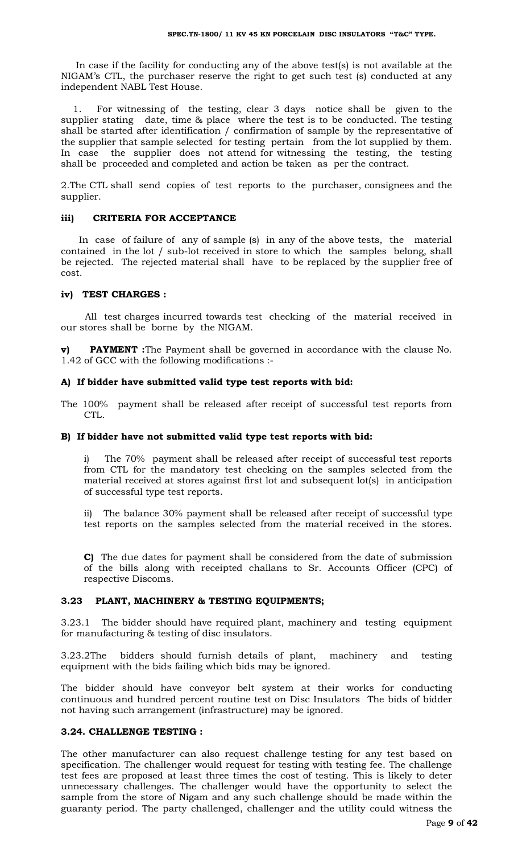In case if the facility for conducting any of the above test(s) is not available at the NIGAM's CTL, the purchaser reserve the right to get such test (s) conducted at any independent NABL Test House.

 1. For witnessing of the testing, clear 3 days notice shall be given to the supplier stating date, time & place where the test is to be conducted. The testing shall be started after identification / confirmation of sample by the representative of the supplier that sample selected for testing pertain from the lot supplied by them. In case the supplier does not attend for witnessing the testing, the testing shall be proceeded and completed and action be taken as per the contract.

2.The CTL shall send copies of test reports to the purchaser, consignees and the supplier.

#### **iii) CRITERIA FOR ACCEPTANCE**

 In case of failure of any of sample (s) in any of the above tests, the material contained in the lot / sub-lot received in store to which the samples belong, shall be rejected. The rejected material shall have to be replaced by the supplier free of cost.

#### **iv) TEST CHARGES :**

 All test charges incurred towards test checking of the material received in our stores shall be borne by the NIGAM.

**v) PAYMENT**: The Payment shall be governed in accordance with the clause No. 1.42 of GCC with the following modifications :-

#### **A) If bidder have submitted valid type test reports with bid:**

The 100% payment shall be released after receipt of successful test reports from CTL.

#### **B) If bidder have not submitted valid type test reports with bid:**

i) The 70% payment shall be released after receipt of successful test reports from CTL for the mandatory test checking on the samples selected from the material received at stores against first lot and subsequent lot(s) in anticipation of successful type test reports.

ii) The balance 30% payment shall be released after receipt of successful type test reports on the samples selected from the material received in the stores.

**C)** The due dates for payment shall be considered from the date of submission of the bills along with receipted challans to Sr. Accounts Officer (CPC) of respective Discoms.

#### **3.23 PLANT, MACHINERY & TESTING EQUIPMENTS;**

3.23.1 The bidder should have required plant, machinery and testing equipment for manufacturing & testing of disc insulators.

3.23.2The bidders should furnish details of plant, machinery and testing equipment with the bids failing which bids may be ignored.

The bidder should have conveyor belt system at their works for conducting continuous and hundred percent routine test on Disc Insulators The bids of bidder not having such arrangement (infrastructure) may be ignored.

## **3.24. CHALLENGE TESTING :**

The other manufacturer can also request challenge testing for any test based on specification. The challenger would request for testing with testing fee. The challenge test fees are proposed at least three times the cost of testing. This is likely to deter unnecessary challenges. The challenger would have the opportunity to select the sample from the store of Nigam and any such challenge should be made within the guaranty period. The party challenged, challenger and the utility could witness the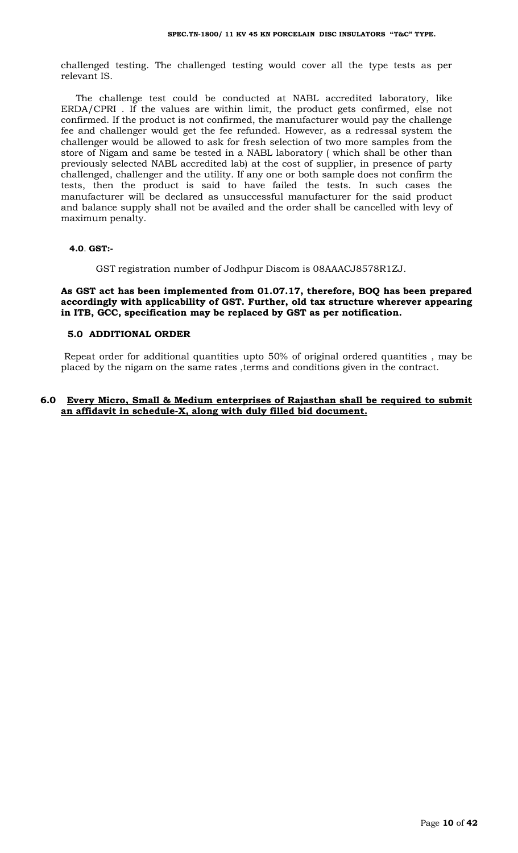challenged testing. The challenged testing would cover all the type tests as per relevant IS.

 The challenge test could be conducted at NABL accredited laboratory, like ERDA/CPRI . If the values are within limit, the product gets confirmed, else not confirmed. If the product is not confirmed, the manufacturer would pay the challenge fee and challenger would get the fee refunded. However, as a redressal system the challenger would be allowed to ask for fresh selection of two more samples from the store of Nigam and same be tested in a NABL laboratory ( which shall be other than previously selected NABL accredited lab) at the cost of supplier, in presence of party challenged, challenger and the utility. If any one or both sample does not confirm the tests, then the product is said to have failed the tests. In such cases the manufacturer will be declared as unsuccessful manufacturer for the said product and balance supply shall not be availed and the order shall be cancelled with levy of maximum penalty.

#### **4.0**. **GST:-**

GST registration number of Jodhpur Discom is 08AAACJ8578R1ZJ.

## **As GST act has been implemented from 01.07.17, therefore, BOQ has been prepared accordingly with applicability of GST. Further, old tax structure wherever appearing in ITB, GCC, specification may be replaced by GST as per notification.**

#### **5.0 ADDITIONAL ORDER**

 Repeat order for additional quantities upto 50% of original ordered quantities , may be placed by the nigam on the same rates ,terms and conditions given in the contract.

#### **6.0 Every Micro, Small & Medium enterprises of Rajasthan shall be required to submit an affidavit in schedule-X, along with duly filled bid document.**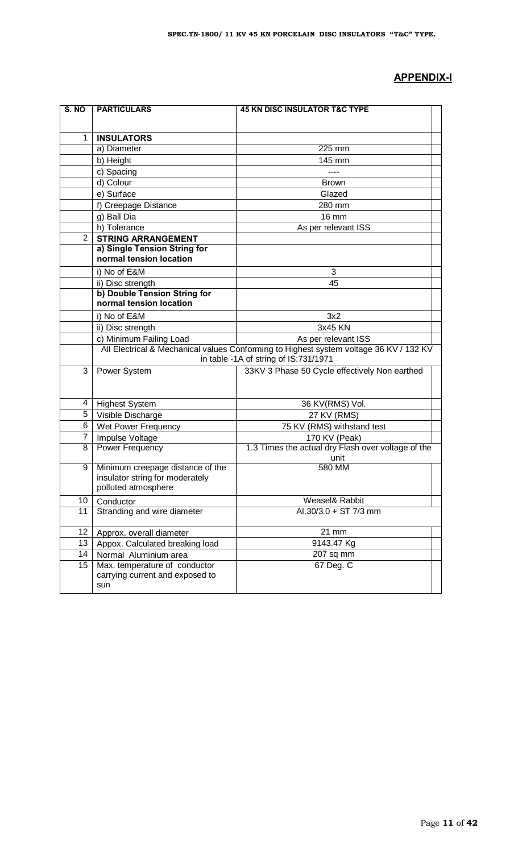# **APPENDIX-I**

| S. NO          | <b>PARTICULARS</b>                                      | <b>45 KN DISC INSULATOR T&amp;C TYPE</b>                                               |  |
|----------------|---------------------------------------------------------|----------------------------------------------------------------------------------------|--|
|                |                                                         |                                                                                        |  |
| $\mathbf{1}$   | <b>INSULATORS</b>                                       |                                                                                        |  |
|                | a) Diameter                                             | 225 mm                                                                                 |  |
|                | b) Height                                               | 145 mm                                                                                 |  |
|                | c) Spacing                                              | ----                                                                                   |  |
|                | d) Colour                                               | <b>Brown</b>                                                                           |  |
|                | e) Surface                                              | Glazed                                                                                 |  |
|                | f) Creepage Distance                                    | 280 mm                                                                                 |  |
|                | g) Ball Dia                                             | 16 mm                                                                                  |  |
|                | h) Tolerance                                            | As per relevant ISS                                                                    |  |
| $\overline{2}$ | <b>STRING ARRANGEMENT</b>                               |                                                                                        |  |
|                | a) Single Tension String for<br>normal tension location |                                                                                        |  |
|                | i) No of E&M                                            | 3                                                                                      |  |
|                | ii) Disc strength                                       | 45                                                                                     |  |
|                | b) Double Tension String for                            |                                                                                        |  |
|                | normal tension location                                 |                                                                                        |  |
|                | i) No of E&M                                            | 3x2                                                                                    |  |
|                | ii) Disc strength                                       | 3x45 KN                                                                                |  |
|                | c) Minimum Failing Load                                 | As per relevant ISS                                                                    |  |
|                |                                                         | All Electrical & Mechanical values Conforming to Highest system voltage 36 KV / 132 KV |  |
|                |                                                         | in table -1A of string of IS:731/1971                                                  |  |
| 3              | Power System                                            | 33KV 3 Phase 50 Cycle effectively Non earthed                                          |  |
|                |                                                         |                                                                                        |  |
| 4              | <b>Highest System</b>                                   | 36 KV(RMS) Vol.                                                                        |  |
| 5              | Visible Discharge                                       | 27 KV (RMS)                                                                            |  |
| 6              | Wet Power Frequency                                     | 75 KV (RMS) withstand test                                                             |  |
| 7              | Impulse Voltage                                         | 170 KV (Peak)                                                                          |  |
| 8              | Power Frequency                                         | 1.3 Times the actual dry Flash over voltage of the<br>unit                             |  |
| 9              | Minimum creepage distance of the                        | 580 MM                                                                                 |  |
|                | insulator string for moderately                         |                                                                                        |  |
|                | polluted atmosphere                                     |                                                                                        |  |
| 10             | Conductor                                               | Weasel& Rabbit                                                                         |  |
| 11             | Stranding and wire diameter                             | Al.30/3.0 + ST 7/3 mm                                                                  |  |
| 12             | Approx. overall diameter                                | 21 mm                                                                                  |  |
| 13             | Appox. Calculated breaking load                         | 9143.47 Kg                                                                             |  |
| 14             | Normal Aluminium area                                   | 207 sq mm                                                                              |  |
| 15             | Max. temperature of conductor                           | 67 Deg. C                                                                              |  |
|                | carrying current and exposed to                         |                                                                                        |  |
|                | sun                                                     |                                                                                        |  |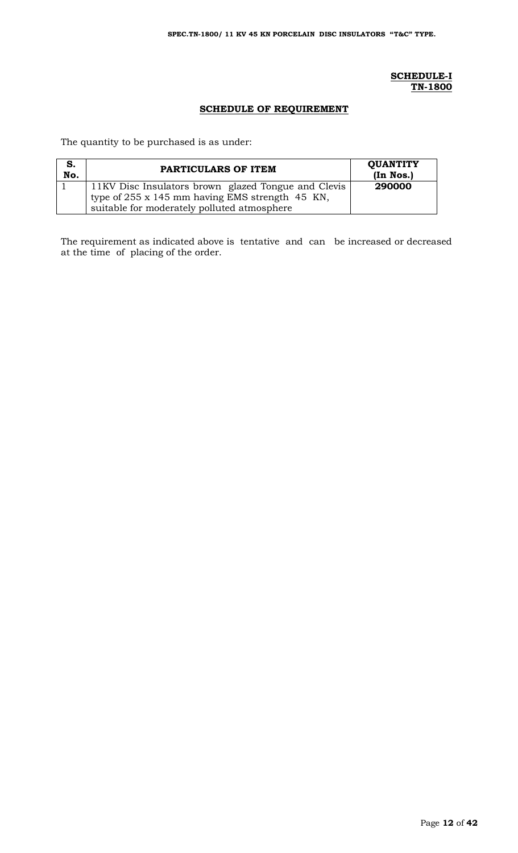## **SCHEDULE-I TN-1800**

## **SCHEDULE OF REQUIREMENT**

The quantity to be purchased is as under:

| S.<br>No. | PARTICULARS OF ITEM                                 | <b>QUANTITY</b><br>(In Nos.) |
|-----------|-----------------------------------------------------|------------------------------|
|           | 11KV Disc Insulators brown glazed Tongue and Clevis | 290000                       |
|           | type of 255 x 145 mm having EMS strength 45 KN,     |                              |
|           | suitable for moderately polluted atmosphere         |                              |

The requirement as indicated above is tentative and can be increased or decreased at the time of placing of the order.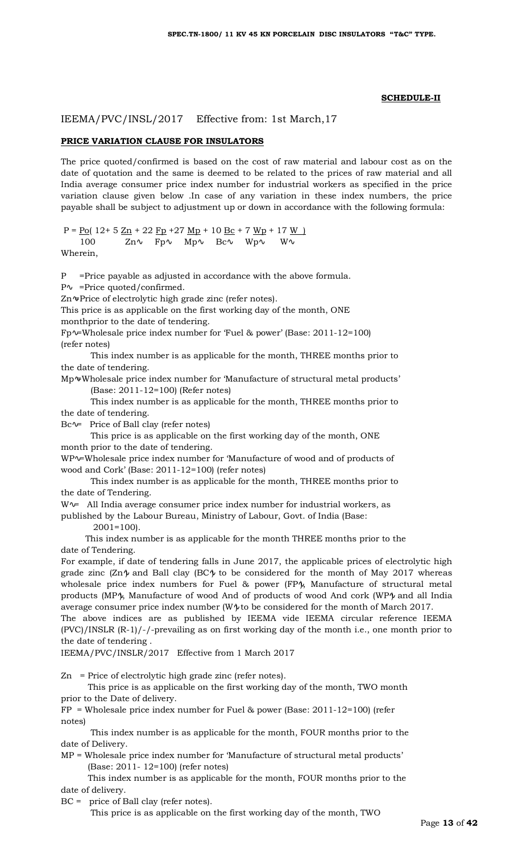#### **SCHEDULE-II**

IEEMA/PVC/INSL/2017 Effective from: 1st March,17

#### **PRICE VARIATION CLAUSE FOR INSULATORS**

The price quoted/confirmed is based on the cost of raw material and labour cost as on the date of quotation and the same is deemed to be related to the prices of raw material and all India average consumer price index number for industrial workers as specified in the price variation clause given below .In case of any variation in these index numbers, the price payable shall be subject to adjustment up or down in accordance with the following formula:

P =  $\underline{Po}$ ( 12+ 5  $\underline{Zn}$  + 22  $\underline{Fp}$  + 27  $\underline{Mp}$  + 10  $\underline{Bc}$  + 7  $\underline{Wp}$  + 17  $\underline{W}$  ) 100 Zn Fp Mp Bc Wp W

Wherein,

P =Price payable as adjusted in accordance with the above formula.

=Price quoted/confirmed.

Zn =Price of electrolytic high grade zinc (refer notes).

This price is as applicable on the first working day of the month, ONE

monthprior to the date of tendering.

Fp =Wholesale price index number for 'Fuel & power' (Base: 2011-12=100) (refer notes)

 This index number is as applicable for the month, THREE months prior to the date of tendering.

Mp =Wholesale price index number for 'Manufacture of structural metal products' (Base: 2011-12=100) (Refer notes)

 This index number is as applicable for the month, THREE months prior to the date of tendering.

Bc = Price of Ball clay (refer notes)

 This price is as applicable on the first working day of the month, ONE month prior to the date of tendering.

WP =Wholesale price index number for 'Manufacture of wood and of products of wood and Cork' (Base: 2011-12=100) (refer notes)

 This index number is as applicable for the month, THREE months prior to the date of Tendering.

W = All India average consumer price index number for industrial workers, as

published by the Labour Bureau, Ministry of Labour, Govt. of India (Base:

2001=100).

 This index number is as applicable for the month THREE months prior to the date of Tendering.

For example, if date of tendering falls in June 2017, the applicable prices of electrolytic high grade zinc  $(Zn)$  and Ball clay  $(BC)$  to be considered for the month of May 2017 whereas wholesale price index numbers for Fuel & power (FP ), Manufacture of structural metal products (MP ), Manufacture of wood And of products of wood And cork (WP ) and all India average consumer price index number (W ) to be considered for the month of March 2017. The above indices are as published by IEEMA vide IEEMA circular reference IEEMA

 $(PVC)/INSLR (R-1)/-/-$  prevailing as on first working day of the month i.e., one month prior to the date of tendering .

IEEMA/PVC/INSLR/2017 Effective from 1 March 2017

 $Zn$  = Price of electrolytic high grade zinc (refer notes).

 This price is as applicable on the first working day of the month, TWO month prior to the Date of delivery.

 $FP$  = Wholesale price index number for Fuel & power (Base: 2011-12=100) (refer notes)

 This index number is as applicable for the month, FOUR months prior to the date of Delivery.

MP = Wholesale price index number for 'Manufacture of structural metal products' (Base: 2011- 12=100) (refer notes)

 This index number is as applicable for the month, FOUR months prior to the date of delivery.

BC = price of Ball clay (refer notes).

This price is as applicable on the first working day of the month, TWO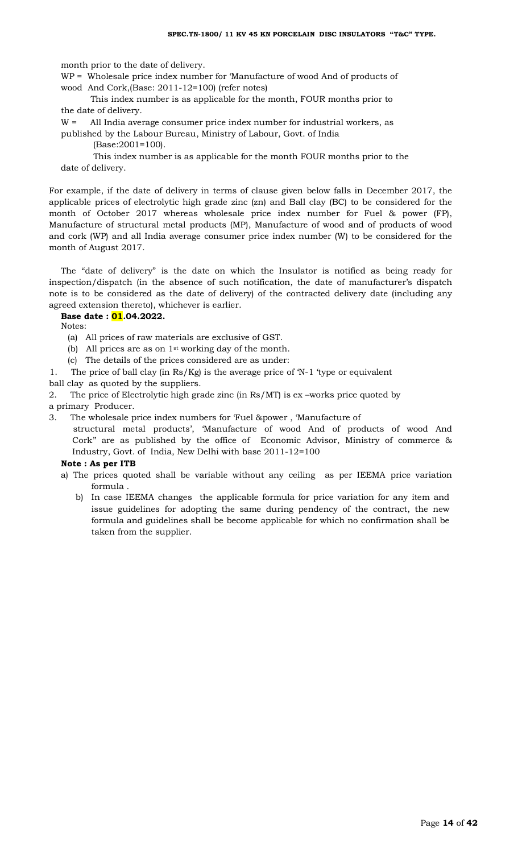month prior to the date of delivery.

WP = Wholesale price index number for 'Manufacture of wood And of products of wood And Cork,(Base: 2011-12=100) (refer notes)

 This index number is as applicable for the month, FOUR months prior to the date of delivery.

W = All India average consumer price index number for industrial workers, as

published by the Labour Bureau, Ministry of Labour, Govt. of India

(Base:2001=100).

 This index number is as applicable for the month FOUR months prior to the date of delivery.

For example, if the date of delivery in terms of clause given below falls in December 2017, the applicable prices of electrolytic high grade zinc (zn) and Ball clay (BC) to be considered for the month of October 2017 whereas wholesale price index number for Fuel & power (FP), Manufacture of structural metal products (MP), Manufacture of wood and of products of wood and cork (WP) and all India average consumer price index number (W) to be considered for the month of August 2017.

The "date of delivery" is the date on which the Insulator is notified as being ready for inspection/dispatch (in the absence of such notification, the date of manufacturer's dispatch note is to be considered as the date of delivery) of the contracted delivery date (including any agreed extension thereto), whichever is earlier.

#### **Base date : 01.04.2022.**

Notes:

- (a) All prices of raw materials are exclusive of GST.
- (b) All prices are as on 1st working day of the month.
- (c) The details of the prices considered are as under:

1. The price of ball clay (in Rs/Kg) is the average price of 'N-1 'type or equivalent

ball clay as quoted by the suppliers.

2. The price of Electrolytic high grade zinc (in Rs/MT) is ex –works price quoted by a primary Producer.

3. The wholesale price index numbers for 'Fuel &power , 'Manufacture of structural metal products', 'Manufacture of wood And of products of wood And Cork'' are as published by the office of Economic Advisor, Ministry of commerce & Industry, Govt. of India, New Delhi with base 2011-12=100

#### **Note : As per ITB**

- a) The prices quoted shall be variable without any ceiling as per IEEMA price variation formula .
	- b) In case IEEMA changes the applicable formula for price variation for any item and issue guidelines for adopting the same during pendency of the contract, the new formula and guidelines shall be become applicable for which no confirmation shall be taken from the supplier.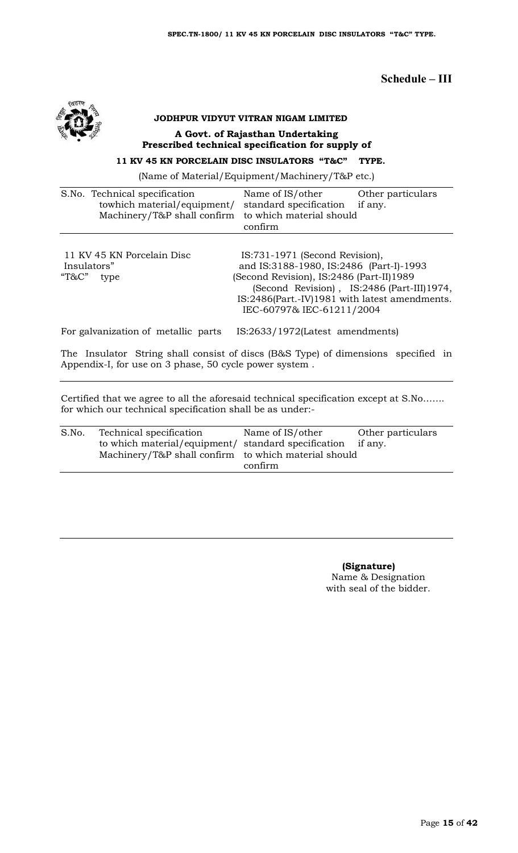## **Schedule – III**



# **JODHPUR VIDYUT VITRAN NIGAM LIMITED A Govt. of Rajasthan Undertaking Prescribed technical specification for supply of**

# **11 KV 45 KN PORCELAIN DISC INSULATORS "T&C" TYPE.**

(Name of Material/Equipment/Machinery/T&P etc.)

| S.No. Technical specification<br>towhich material/equipment/<br>Machinery/T&P shall confirm | Other particulars<br>Name of IS/other<br>standard specification<br>if any.<br>to which material should<br>confirm                                                                                                                                 |
|---------------------------------------------------------------------------------------------|---------------------------------------------------------------------------------------------------------------------------------------------------------------------------------------------------------------------------------------------------|
| 11 KV 45 KN Porcelain Disc<br>Insulators"<br>"T&C"<br>type                                  | IS:731-1971 (Second Revision),<br>and IS:3188-1980, IS:2486 (Part-I)-1993<br>(Second Revision), IS:2486 (Part-II)1989<br>(Second Revision), IS:2486 (Part-III)1974,<br>IS:2486(Part.-IV)1981 with latest amendments.<br>IEC-60797& IEC-61211/2004 |
| For galvanization of metallic parts                                                         | IS:2633/1972(Latest amendments)                                                                                                                                                                                                                   |

The Insulator String shall consist of discs (B&S Type) of dimensions specified in Appendix-I, for use on 3 phase, 50 cycle power system .

Certified that we agree to all the aforesaid technical specification except at S.No……. for which our technical specification shall be as under:-

| S.No. | Technical specification                                     | Name of IS/other | Other particulars |
|-------|-------------------------------------------------------------|------------------|-------------------|
|       | to which material/equipment/ standard specification if any. |                  |                   |
|       | Machinery/T&P shall confirm to which material should        |                  |                   |
|       |                                                             | confirm          |                   |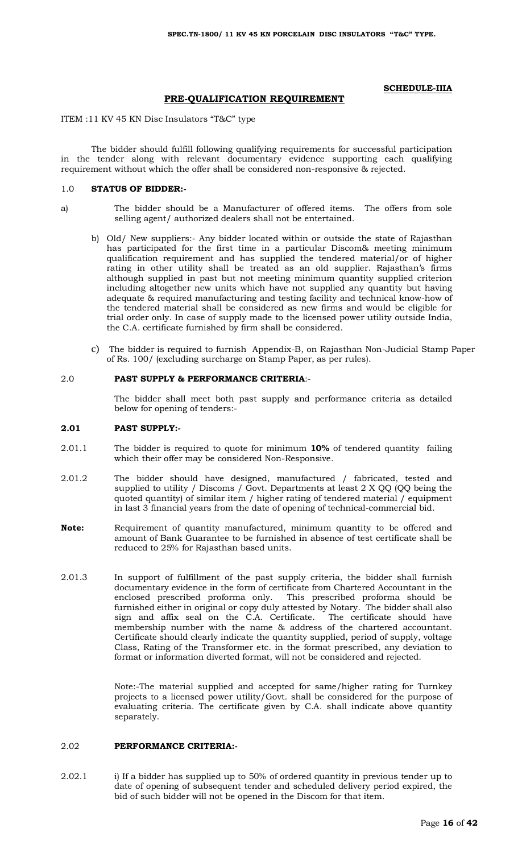#### **SCHEDULE-IIIA**

#### **PRE-QUALIFICATION REQUIREMENT**

#### ITEM :11 KV 45 KN Disc Insulators "T&C" type

The bidder should fulfill following qualifying requirements for successful participation in the tender along with relevant documentary evidence supporting each qualifying requirement without which the offer shall be considered non-responsive & rejected.

#### 1.0 **STATUS OF BIDDER:-**

- a) The bidder should be a Manufacturer of offered items. The offers from sole selling agent/ authorized dealers shall not be entertained.
	- b) Old/ New suppliers:- Any bidder located within or outside the state of Rajasthan has participated for the first time in a particular Discom& meeting minimum qualification requirement and has supplied the tendered material/or of higher rating in other utility shall be treated as an old supplier. Rajasthan's firms although supplied in past but not meeting minimum quantity supplied criterion including altogether new units which have not supplied any quantity but having adequate & required manufacturing and testing facility and technical know-how of the tendered material shall be considered as new firms and would be eligible for trial order only. In case of supply made to the licensed power utility outside India, the C.A. certificate furnished by firm shall be considered.
	- c) The bidder is required to furnish Appendix-B, on Rajasthan Non-Judicial Stamp Paper of Rs. 100/ (excluding surcharge on Stamp Paper, as per rules).

#### 2.0 **PAST SUPPLY & PERFORMANCE CRITERIA**:-

The bidder shall meet both past supply and performance criteria as detailed below for opening of tenders:-

#### **2.01 PAST SUPPLY:-**

- 2.01.1 The bidder is required to quote for minimum **10%** of tendered quantity failing which their offer may be considered Non-Responsive.
- 2.01.2 The bidder should have designed, manufactured / fabricated, tested and supplied to utility / Discoms / Govt. Departments at least 2 X QQ (QQ being the quoted quantity) of similar item / higher rating of tendered material / equipment in last 3 financial years from the date of opening of technical-commercial bid.
- **Note:** Requirement of quantity manufactured, minimum quantity to be offered and amount of Bank Guarantee to be furnished in absence of test certificate shall be reduced to 25% for Rajasthan based units.
- 2.01.3 In support of fulfillment of the past supply criteria, the bidder shall furnish documentary evidence in the form of certificate from Chartered Accountant in the enclosed prescribed proforma only. This prescribed proforma should be furnished either in original or copy duly attested by Notary. The bidder shall also sign and affix seal on the C.A. Certificate. The certificate should have membership number with the name & address of the chartered accountant. Certificate should clearly indicate the quantity supplied, period of supply, voltage Class, Rating of the Transformer etc. in the format prescribed, any deviation to format or information diverted format, will not be considered and rejected.

Note:-The material supplied and accepted for same/higher rating for Turnkey projects to a licensed power utility/Govt. shall be considered for the purpose of evaluating criteria. The certificate given by C.A. shall indicate above quantity separately.

## 2.02 **PERFORMANCE CRITERIA:-**

2.02.1 i) If a bidder has supplied up to 50% of ordered quantity in previous tender up to date of opening of subsequent tender and scheduled delivery period expired, the bid of such bidder will not be opened in the Discom for that item.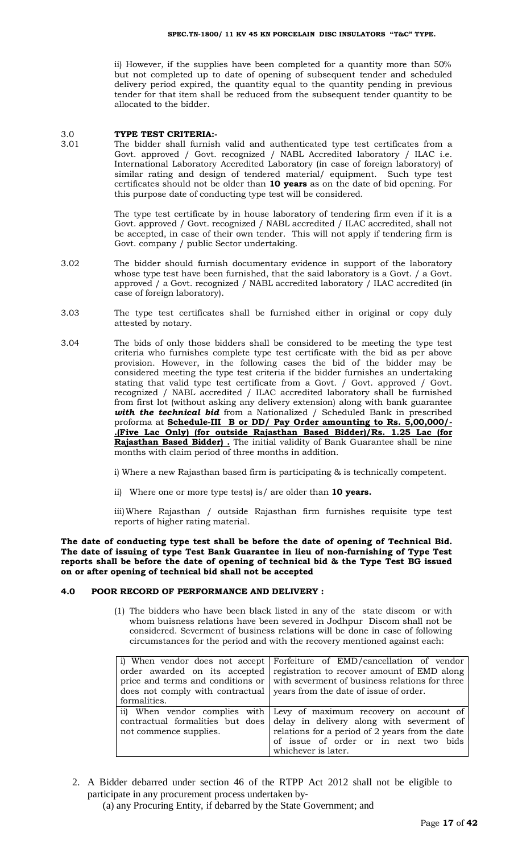ii) However, if the supplies have been completed for a quantity more than 50% but not completed up to date of opening of subsequent tender and scheduled delivery period expired, the quantity equal to the quantity pending in previous tender for that item shall be reduced from the subsequent tender quantity to be allocated to the bidder.

#### 3.0 **TYPE TEST CRITERIA:-**

3.01 The bidder shall furnish valid and authenticated type test certificates from a Govt. approved / Govt. recognized / NABL Accredited laboratory / ILAC i.e. International Laboratory Accredited Laboratory (in case of foreign laboratory) of similar rating and design of tendered material/ equipment. Such type test certificates should not be older than **10 years** as on the date of bid opening. For this purpose date of conducting type test will be considered.

> The type test certificate by in house laboratory of tendering firm even if it is a Govt. approved / Govt. recognized / NABL accredited / ILAC accredited, shall not be accepted, in case of their own tender. This will not apply if tendering firm is Govt. company / public Sector undertaking.

- 3.02 The bidder should furnish documentary evidence in support of the laboratory whose type test have been furnished, that the said laboratory is a Govt. / a Govt. approved / a Govt. recognized / NABL accredited laboratory / ILAC accredited (in case of foreign laboratory).
- 3.03 The type test certificates shall be furnished either in original or copy duly attested by notary.
- 3.04 The bids of only those bidders shall be considered to be meeting the type test criteria who furnishes complete type test certificate with the bid as per above provision. However, in the following cases the bid of the bidder may be considered meeting the type test criteria if the bidder furnishes an undertaking stating that valid type test certificate from a Govt. / Govt. approved / Govt. recognized / NABL accredited / ILAC accredited laboratory shall be furnished from first lot (without asking any delivery extension) along with bank guarantee with the technical bid from a Nationalized / Scheduled Bank in prescribed proforma at **Schedule-III B or DD/ Pay Order amounting to Rs. 5,00,000/- .(Five Lac Only) (for outside Rajasthan Based Bidder)/Rs. 1.25 Lac (for Rajasthan Based Bidder) .** The initial validity of Bank Guarantee shall be nine months with claim period of three months in addition.

i) Where a new Rajasthan based firm is participating & is technically competent.

ii) Where one or more type tests) is/ are older than **10 years.**

iii)Where Rajasthan / outside Rajasthan firm furnishes requisite type test reports of higher rating material.

**The date of conducting type test shall be before the date of opening of Technical Bid. The date of issuing of type Test Bank Guarantee in lieu of non-furnishing of Type Test reports shall be before the date of opening of technical bid & the Type Test BG issued on or after opening of technical bid shall not be accepted**

#### **4.0 POOR RECORD OF PERFORMANCE AND DELIVERY :**

(1) The bidders who have been black listed in any of the state discom or with whom buisness relations have been severed in Jodhpur Discom shall not be considered. Severment of business relations will be done in case of following circumstances for the period and with the recovery mentioned against each:

| formalities.                                               | i) When vendor does not accept Forfeiture of EMD/cancellation of vendor<br>order awarded on its accepted registration to recover amount of EMD along<br>price and terms and conditions or $\vert$ with severment of business relations for three<br>does not comply with contractual vears from the date of issue of order. |
|------------------------------------------------------------|-----------------------------------------------------------------------------------------------------------------------------------------------------------------------------------------------------------------------------------------------------------------------------------------------------------------------------|
| contractual formalities but does<br>not commence supplies. | ii) When vendor complies with Levy of maximum recovery on account of<br>delay in delivery along with severment of<br>relations for a period of 2 years from the date<br>of issue of order or in next two bids<br>whichever is later.                                                                                        |

2. A Bidder debarred under section 46 of the RTPP Act 2012 shall not be eligible to participate in any procurement process undertaken by‐

(a) any Procuring Entity, if debarred by the State Government; and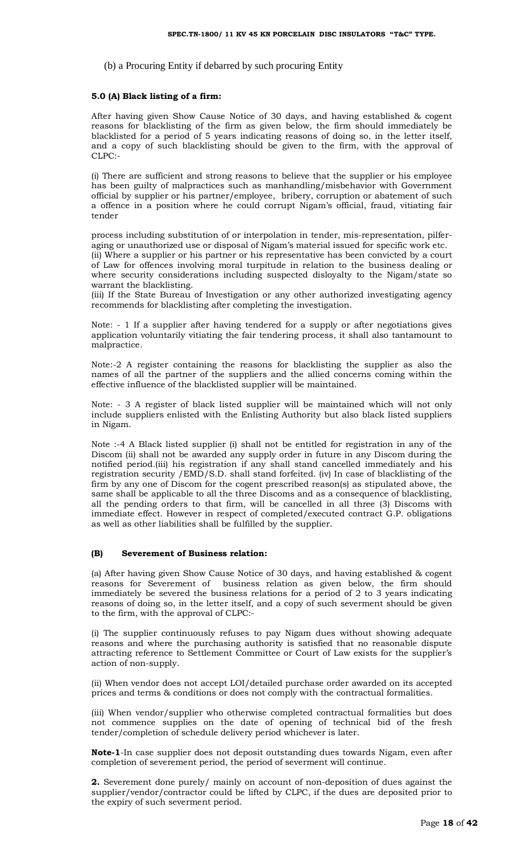(b) a Procuring Entity if debarred by such procuring Entity

#### **5.0 (A) Black listing of a firm:**

After having given Show Cause Notice of 30 days, and having established & cogent reasons for blacklisting of the firm as given below, the firm should immediately be blacklisted for a period of 5 years indicating reasons of doing so, in the letter itself, and a copy of such blacklisting should be given to the firm, with the approval of CLPC:-

(i) There are sufficient and strong reasons to believe that the supplier or his employee has been guilty of malpractices such as manhandling/misbehavior with Government official by supplier or his partner/employee, bribery, corruption or abatement of such a offence in a position where he could corrupt Nigam's official, fraud, vitiating fair tender

process including substitution of or interpolation in tender, mis-representation, pilferaging or unauthorized use or disposal of Nigam's material issued for specific work etc. (ii) Where a supplier or his partner or his representative has been convicted by a court of Law for offences involving moral turpitude in relation to the business dealing or where security considerations including suspected disloyalty to the Nigam/state so warrant the blacklisting.

(iii) If the State Bureau of Investigation or any other authorized investigating agency recommends for blacklisting after completing the investigation.

Note: - 1 If a supplier after having tendered for a supply or after negotiations gives application voluntarily vitiating the fair tendering process, it shall also tantamount to malpractice.

Note:-2 A register containing the reasons for blacklisting the supplier as also the names of all the partner of the suppliers and the allied concerns coming within the effective influence of the blacklisted supplier will be maintained.

Note: - 3 A register of black listed supplier will be maintained which will not only include suppliers enlisted with the Enlisting Authority but also black listed suppliers in Nigam.

Note :-4 A Black listed supplier (i) shall not be entitled for registration in any of the Discom (ii) shall not be awarded any supply order in future in any Discom during the notified period.(iii) his registration if any shall stand cancelled immediately and his registration security /EMD/S.D. shall stand forfeited. (iv) In case of blacklisting of the firm by any one of Discom for the cogent prescribed reason(s) as stipulated above, the same shall be applicable to all the three Discoms and as a consequence of blacklisting, all the pending orders to that firm, will be cancelled in all three (3) Discoms with immediate effect. However in respect of completed/executed contract G.P. obligations as well as other liabilities shall be fulfilled by the supplier.

#### **(B) Severement of Business relation:**

(a) After having given Show Cause Notice of 30 days, and having established & cogent reasons for Severement of business relation as given below, the firm should immediately be severed the business relations for a period of 2 to 3 years indicating reasons of doing so, in the letter itself, and a copy of such severment should be given to the firm, with the approval of CLPC:-

(i) The supplier continuously refuses to pay Nigam dues without showing adequate reasons and where the purchasing authority is satisfied that no reasonable dispute attracting reference to Settlement Committee or Court of Law exists for the supplier's action of non-supply.

(ii) When vendor does not accept LOI/detailed purchase order awarded on its accepted prices and terms & conditions or does not comply with the contractual formalities.

(iii) When vendor/supplier who otherwise completed contractual formalities but does not commence supplies on the date of opening of technical bid of the fresh tender/completion of schedule delivery period whichever is later.

**Note-1**-In case supplier does not deposit outstanding dues towards Nigam, even after completion of severement period, the period of severment will continue.

**2.** Severement done purely/ mainly on account of non-deposition of dues against the supplier/vendor/contractor could be lifted by CLPC, if the dues are deposited prior to the expiry of such severment period.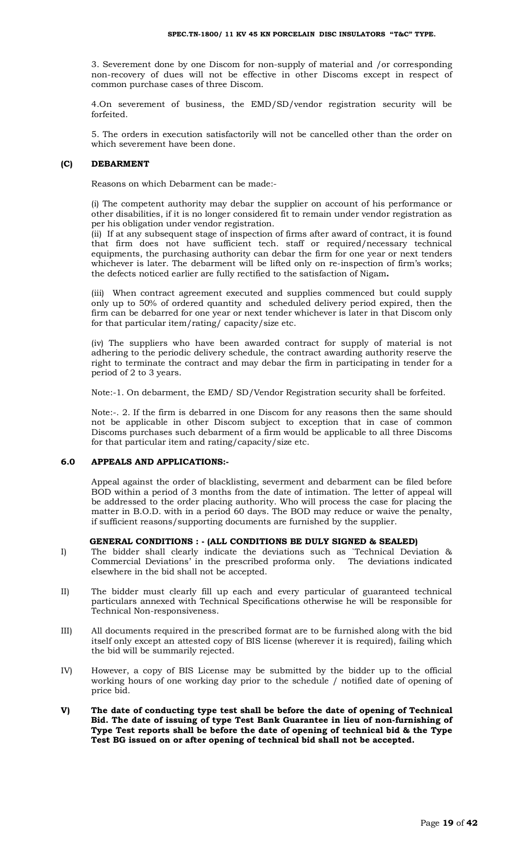3. Severement done by one Discom for non-supply of material and /or corresponding non-recovery of dues will not be effective in other Discoms except in respect of common purchase cases of three Discom.

4.On severement of business, the EMD/SD/vendor registration security will be forfeited.

5. The orders in execution satisfactorily will not be cancelled other than the order on which severement have been done.

#### **(C) DEBARMENT**

Reasons on which Debarment can be made:-

(i) The competent authority may debar the supplier on account of his performance or other disabilities, if it is no longer considered fit to remain under vendor registration as per his obligation under vendor registration.

(ii) If at any subsequent stage of inspection of firms after award of contract, it is found that firm does not have sufficient tech. staff or required/necessary technical equipments, the purchasing authority can debar the firm for one year or next tenders whichever is later. The debarment will be lifted only on re-inspection of firm's works; the defects noticed earlier are fully rectified to the satisfaction of Nigam**.** 

(iii) When contract agreement executed and supplies commenced but could supply only up to 50% of ordered quantity and scheduled delivery period expired, then the firm can be debarred for one year or next tender whichever is later in that Discom only for that particular item/rating/ capacity/size etc.

(iv) The suppliers who have been awarded contract for supply of material is not adhering to the periodic delivery schedule, the contract awarding authority reserve the right to terminate the contract and may debar the firm in participating in tender for a period of 2 to 3 years.

Note:-1. On debarment, the EMD/ SD/Vendor Registration security shall be forfeited.

Note:-. 2. If the firm is debarred in one Discom for any reasons then the same should not be applicable in other Discom subject to exception that in case of common Discoms purchases such debarment of a firm would be applicable to all three Discoms for that particular item and rating/capacity/size etc.

#### **6.0 APPEALS AND APPLICATIONS:-**

Appeal against the order of blacklisting, severment and debarment can be filed before BOD within a period of 3 months from the date of intimation. The letter of appeal will be addressed to the order placing authority. Who will process the case for placing the matter in B.O.D. with in a period 60 days. The BOD may reduce or waive the penalty, if sufficient reasons/supporting documents are furnished by the supplier.

## **GENERAL CONDITIONS : - (ALL CONDITIONS BE DULY SIGNED & SEALED)**

- I) The bidder shall clearly indicate the deviations such as `Technical Deviation & Commercial Deviations' in the prescribed proforma only. The deviations indicated elsewhere in the bid shall not be accepted.
- II) The bidder must clearly fill up each and every particular of guaranteed technical particulars annexed with Technical Specifications otherwise he will be responsible for Technical Non-responsiveness.
- III) All documents required in the prescribed format are to be furnished along with the bid itself only except an attested copy of BIS license (wherever it is required), failing which the bid will be summarily rejected.
- IV) However, a copy of BIS License may be submitted by the bidder up to the official working hours of one working day prior to the schedule / notified date of opening of price bid.
- **V) The date of conducting type test shall be before the date of opening of Technical Bid. The date of issuing of type Test Bank Guarantee in lieu of non-furnishing of Type Test reports shall be before the date of opening of technical bid & the Type Test BG issued on or after opening of technical bid shall not be accepted.**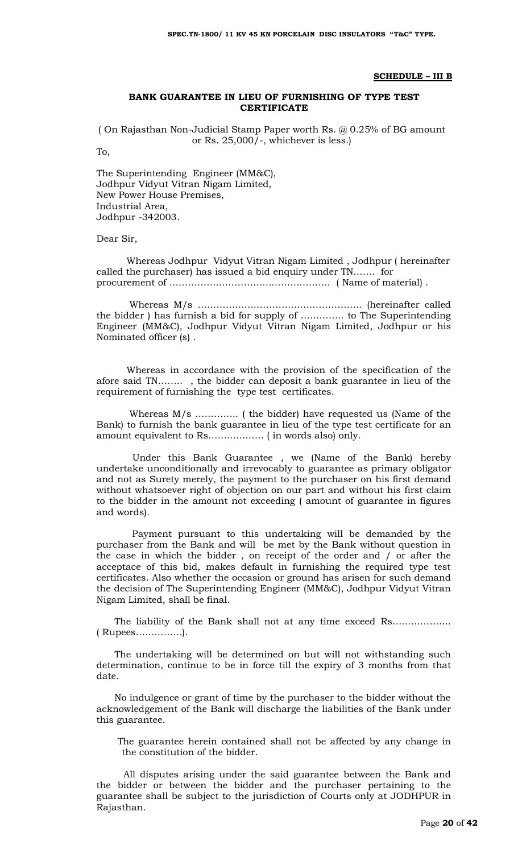#### **SCHEDULE – III B**

### **BANK GUARANTEE IN LIEU OF FURNISHING OF TYPE TEST CERTIFICATE**

( On Rajasthan Non-Judicial Stamp Paper worth Rs. @ 0.25% of BG amount or Rs. 25,000/-, whichever is less.)

To,

The Superintending Engineer (MM&C), Jodhpur Vidyut Vitran Nigam Limited, New Power House Premises, Industrial Area, Jodhpur -342003.

#### Dear Sir,

 Whereas Jodhpur Vidyut Vitran Nigam Limited , Jodhpur ( hereinafter called the purchaser) has issued a bid enquiry under TN……. for procurement of ……………………………………………. ( Name of material) .

 Whereas M/s …………………………………………….. (hereinafter called the bidder ) has furnish a bid for supply of ………….. to The Superintending Engineer (MM&C), Jodhpur Vidyut Vitran Nigam Limited, Jodhpur or his Nominated officer (s) .

 Whereas in accordance with the provision of the specification of the afore said TN…….. , the bidder can deposit a bank guarantee in lieu of the requirement of furnishing the type test certificates.

 Whereas M/s ………….. ( the bidder) have requested us (Name of the Bank) to furnish the bank guarantee in lieu of the type test certificate for an amount equivalent to Rs……………… ( in words also) only.

 Under this Bank Guarantee , we (Name of the Bank) hereby undertake unconditionally and irrevocably to guarantee as primary obligator and not as Surety merely, the payment to the purchaser on his first demand without whatsoever right of objection on our part and without his first claim to the bidder in the amount not exceeding ( amount of guarantee in figures and words).

 Payment pursuant to this undertaking will be demanded by the purchaser from the Bank and will be met by the Bank without question in the case in which the bidder , on receipt of the order and / or after the acceptace of this bid, makes default in furnishing the required type test certificates. Also whether the occasion or ground has arisen for such demand the decision of The Superintending Engineer (MM&C), Jodhpur Vidyut Vitran Nigam Limited, shall be final.

The liability of the Bank shall not at any time exceed Rs………………… ( Rupees……………).

 The undertaking will be determined on but will not withstanding such determination, continue to be in force till the expiry of 3 months from that date.

 No indulgence or grant of time by the purchaser to the bidder without the acknowledgement of the Bank will discharge the liabilities of the Bank under this guarantee.

 The guarantee herein contained shall not be affected by any change in the constitution of the bidder.

 All disputes arising under the said guarantee between the Bank and the bidder or between the bidder and the purchaser pertaining to the guarantee shall be subject to the jurisdiction of Courts only at JODHPUR in Rajasthan.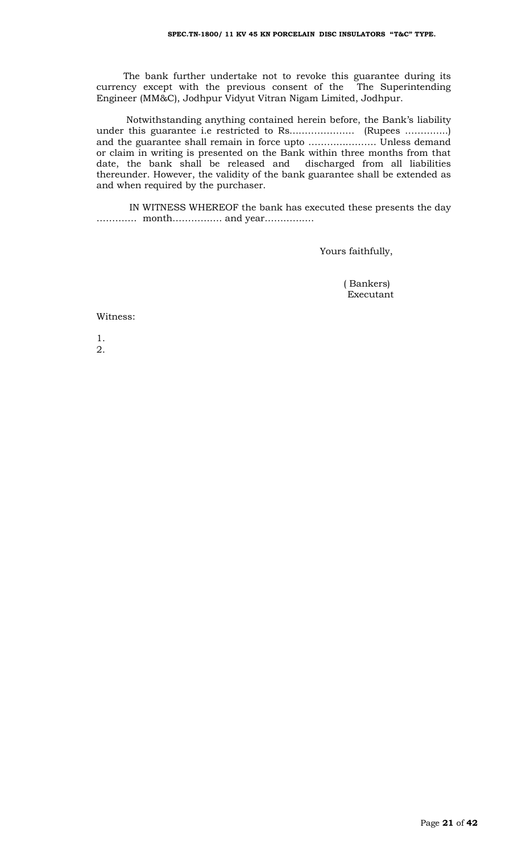The bank further undertake not to revoke this guarantee during its currency except with the previous consent of the The Superintending Engineer (MM&C), Jodhpur Vidyut Vitran Nigam Limited, Jodhpur.

 Notwithstanding anything contained herein before, the Bank's liability under this guarantee i.e restricted to Rs………………… (Rupees …………..) and the guarantee shall remain in force upto …………………. Unless demand or claim in writing is presented on the Bank within three months from that date, the bank shall be released and discharged from all liabilities thereunder. However, the validity of the bank guarantee shall be extended as and when required by the purchaser.

 IN WITNESS WHEREOF the bank has executed these presents the day …………. month……………. and year…………….

Yours faithfully,

 ( Bankers) Executant

#### Witness:

1. 2.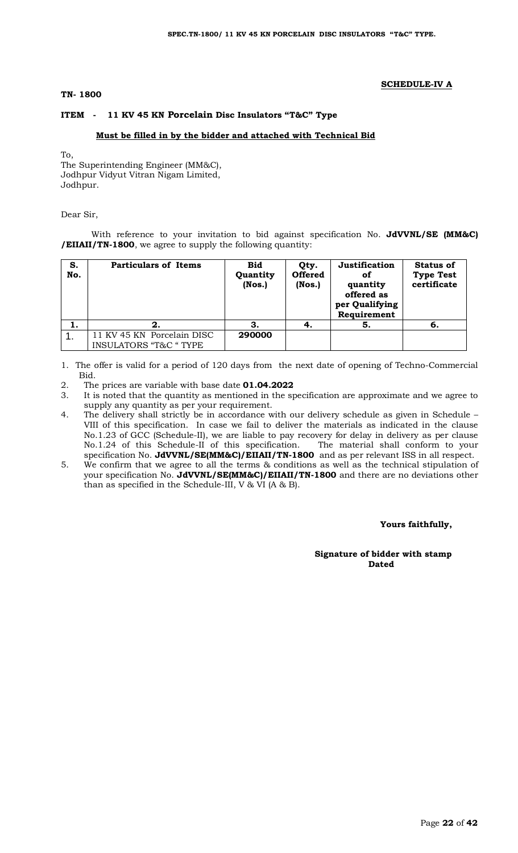#### **TN- 1800**

#### **SCHEDULE-IV A**

#### **ITEM - 11 KV 45 KN Porcelain Disc Insulators "T&C" Type**

#### **Must be filled in by the bidder and attached with Technical Bid**

To,

The Superintending Engineer (MM&C), Jodhpur Vidyut Vitran Nigam Limited, Jodhpur.

Dear Sir,

With reference to your invitation to bid against specification No. **JdVVNL/SE (MM&C) /EIIAII/TN-1800**, we agree to supply the following quantity:

| S.<br>No. | <b>Particulars of Items</b>                                     | <b>Bid</b><br>Quantity<br>$($ Nos. $)$ | Qty.<br><b>Offered</b><br>$($ Nos. $)$ | Justification<br>οf<br>quantity<br>offered as<br>per Qualifying<br>Requirement | <b>Status of</b><br><b>Type Test</b><br>certificate |
|-----------|-----------------------------------------------------------------|----------------------------------------|----------------------------------------|--------------------------------------------------------------------------------|-----------------------------------------------------|
| .,        |                                                                 |                                        |                                        | 5.                                                                             | -6.                                                 |
|           | 11 KV 45 KN Porcelain DISC<br><b>INSULATORS "T&amp;C " TYPE</b> | 290000                                 |                                        |                                                                                |                                                     |

1. The offer is valid for a period of 120 days from the next date of opening of Techno-Commercial Bid.

- 2. The prices are variable with base date **01.04.2022**
- 3. It is noted that the quantity as mentioned in the specification are approximate and we agree to supply any quantity as per your requirement.
- 4. The delivery shall strictly be in accordance with our delivery schedule as given in Schedule VIII of this specification. In case we fail to deliver the materials as indicated in the clause No.1.23 of GCC (Schedule-II), we are liable to pay recovery for delay in delivery as per clause No.1.24 of this Schedule-II of this specification. The material shall conform to your specification No. **JdVVNL/SE(MM&C)/EIIAII/TN-1800** and as per relevant ISS in all respect.
- 5. We confirm that we agree to all the terms & conditions as well as the technical stipulation of your specification No. **JdVVNL/SE(MM&C)/EIIAII/TN-1800** and there are no deviations other than as specified in the Schedule-III, V & VI (A & B).

#### **Yours faithfully,**

#### **Signature of bidder with stamp**  *Dated* **Dated**  *Dated*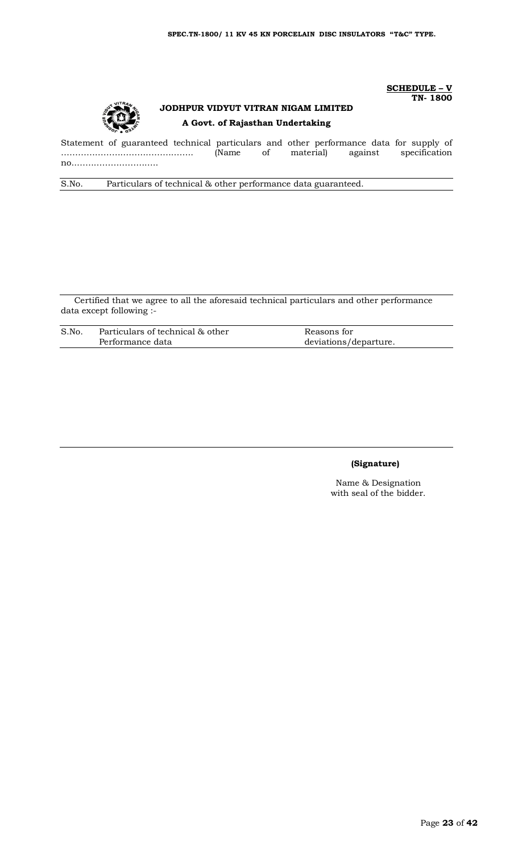

# **JODHPUR VIDYUT VITRAN NIGAM LIMITED A Govt. of Rajasthan Undertaking**

Statement of guaranteed technical particulars and other performance data for supply of ……………………………………….. (Name of material) against specification no..………………………..

S.No. Particulars of technical & other performance data guaranteed.

Certified that we agree to all the aforesaid technical particulars and other performance data except following :-

| S.No | Particulars of technical & other | Reasons for           |
|------|----------------------------------|-----------------------|
|      | Performance data                 | deviations/departure. |

## **(Signature)**

**SCHEDULE – V TN- 1800**

Name & Designation with seal of the bidder.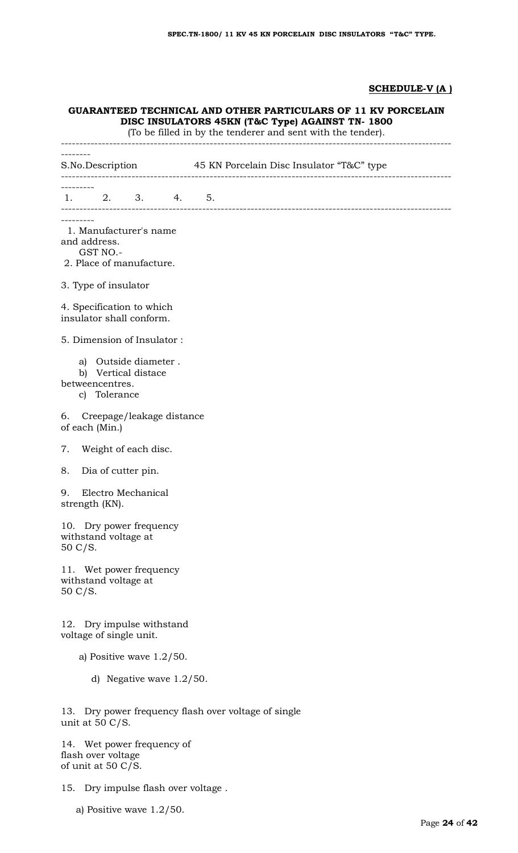## **SCHEDULE-V (A )**

## **GUARANTEED TECHNICAL AND OTHER PARTICULARS OF 11 KV PORCELAIN DISC INSULATORS 45KN (T&C Type) AGAINST TN- 1800**

(To be filled in by the tenderer and sent with the tender).

--------------------------------------------------------------------------------------------------------- --------<br>S.No.Description 45 KN Porcelain Disc Insulator "T&C" type --------------------------------------------------------------------------------------------------------- --------- 1. 2. 3. 4. 5. --------------------------------------------------------------------------------------------------------- --------- 1. Manufacturer's name and address. GST NO.- 2. Place of manufacture. 3. Type of insulator 4. Specification to which insulator shall conform. 5. Dimension of Insulator : a) Outside diameter . b) Vertical distace betweencentres. c) Tolerance 6. Creepage/leakage distance of each (Min.) 7. Weight of each disc. 8. Dia of cutter pin. 9. Electro Mechanical strength (KN). 10. Dry power frequency withstand voltage at 50 C/S. 11. Wet power frequency withstand voltage at 50 C/S. 12. Dry impulse withstand voltage of single unit. a) Positive wave 1.2/50. d) Negative wave 1.2/50. 13. Dry power frequency flash over voltage of single unit at 50 C/S. 14. Wet power frequency of flash over voltage

of unit at 50 C/S.

- 15. Dry impulse flash over voltage .
	- a) Positive wave 1.2/50.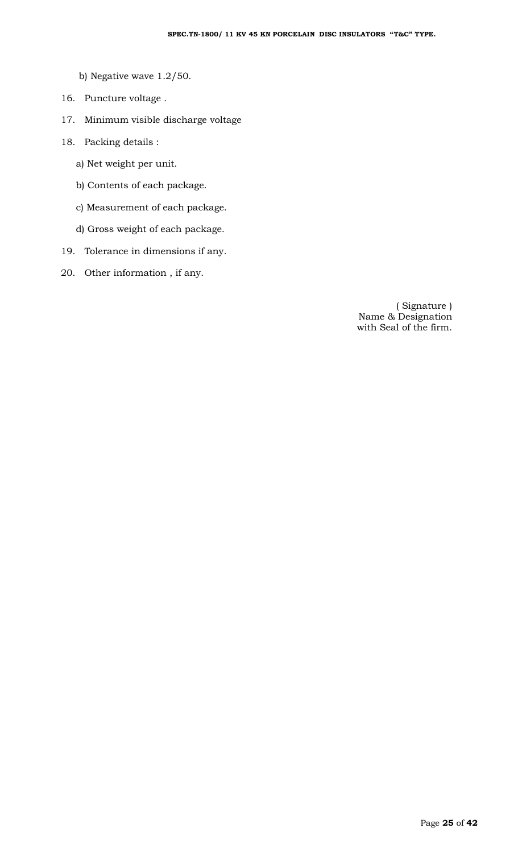- b) Negative wave 1.2/50.
- 16. Puncture voltage .
- 17. Minimum visible discharge voltage
- 18. Packing details :
	- a) Net weight per unit.
	- b) Contents of each package.
	- c) Measurement of each package.
	- d) Gross weight of each package.
- 19. Tolerance in dimensions if any.
- 20. Other information , if any.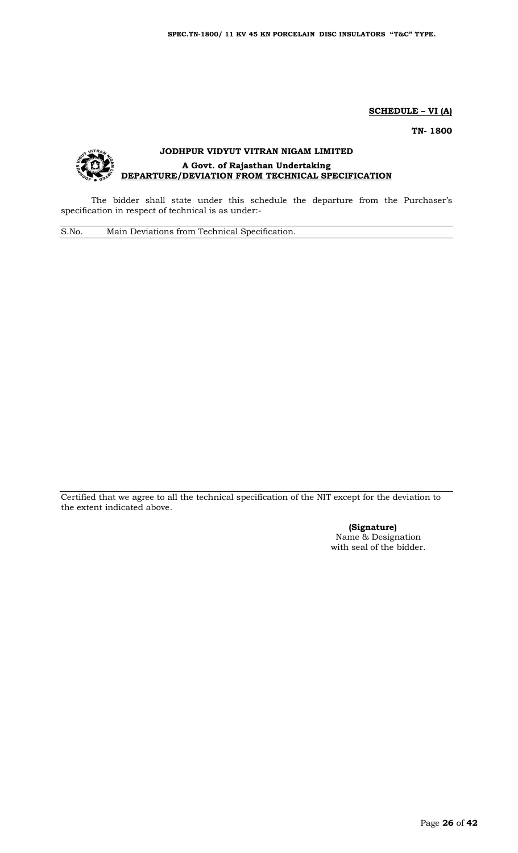**SCHEDULE – VI (A)** 

**TN- 1800**

## **JODHPUR VIDYUT VITRAN NIGAM LIMITED A Govt. of Rajasthan Undertaking DEPARTURE/DEVIATION FROM TECHNICAL SPECIFICATION**

The bidder shall state under this schedule the departure from the Purchaser's specification in respect of technical is as under:-

S.No. Main Deviations from Technical Specification.

Certified that we agree to all the technical specification of the NIT except for the deviation to the extent indicated above.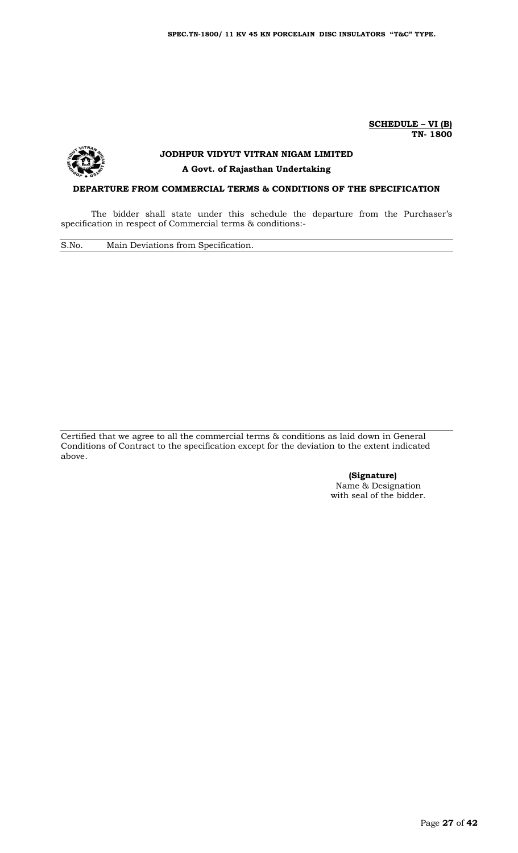**SCHEDULE – VI (B) TN- 1800**



# **JODHPUR VIDYUT VITRAN NIGAM LIMITED A Govt. of Rajasthan Undertaking**

## **DEPARTURE FROM COMMERCIAL TERMS & CONDITIONS OF THE SPECIFICATION**

The bidder shall state under this schedule the departure from the Purchaser's specification in respect of Commercial terms & conditions:-

S.No. Main Deviations from Specification.

Certified that we agree to all the commercial terms & conditions as laid down in General Conditions of Contract to the specification except for the deviation to the extent indicated above.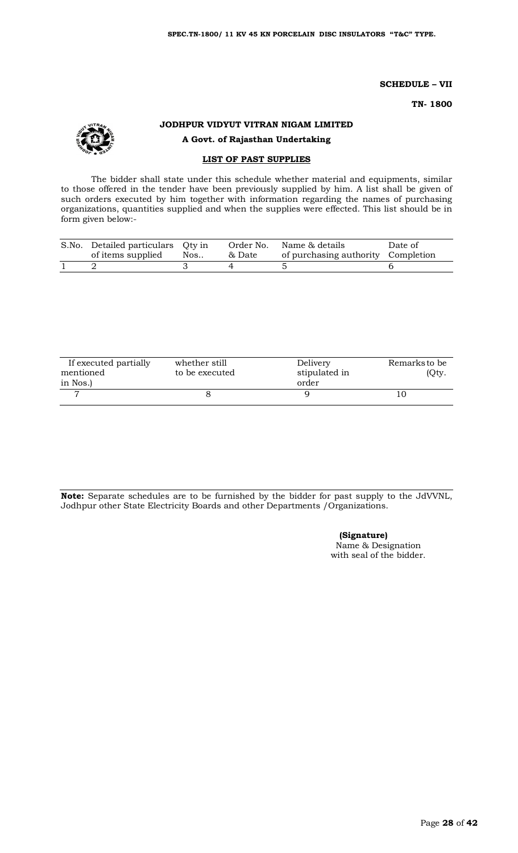**SCHEDULE – VII**

**TN- 1800**

## **JODHPUR VIDYUT VITRAN NIGAM LIMITED A Govt. of Rajasthan Undertaking**

#### **LIST OF PAST SUPPLIES**

The bidder shall state under this schedule whether material and equipments, similar to those offered in the tender have been previously supplied by him. A list shall be given of such orders executed by him together with information regarding the names of purchasing organizations, quantities supplied and when the supplies were effected. This list should be in form given below:-

| S.No. Detailed particulars Qty in<br>of items supplied | Nos | & Date | Order No. Name & details<br>of purchasing authority Completion | Date of |
|--------------------------------------------------------|-----|--------|----------------------------------------------------------------|---------|
|                                                        |     |        |                                                                |         |

| If executed partially<br>mentioned | whether still<br>to be executed | Delivery<br>stipulated in | Remarks to be<br>(Qty. |
|------------------------------------|---------------------------------|---------------------------|------------------------|
| in Nos.)                           |                                 | order                     |                        |
|                                    |                                 |                           |                        |

**Note:** Separate schedules are to be furnished by the bidder for past supply to the JdVVNL, Jodhpur other State Electricity Boards and other Departments /Organizations.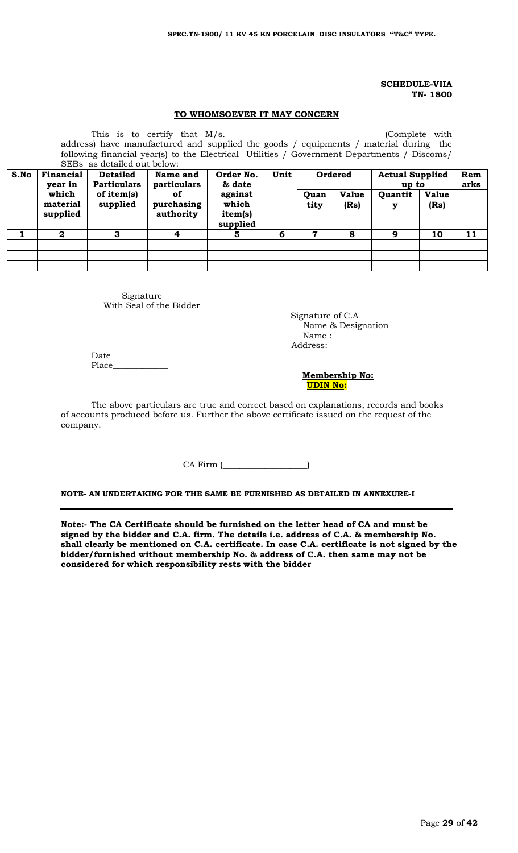#### **SCHEDULE-VIIA TN- 1800**

#### **TO WHOMSOEVER IT MAY CONCERN**

|                                                                                                            | This is to certify that $M/s$ .<br>(Complete with                                    |                    |             |          |   |      |              |         |              |      |
|------------------------------------------------------------------------------------------------------------|--------------------------------------------------------------------------------------|--------------------|-------------|----------|---|------|--------------|---------|--------------|------|
|                                                                                                            | address) have manufactured and supplied the goods / equipments / material during the |                    |             |          |   |      |              |         |              |      |
| following financial year(s) to the Electrical Utilities / Government Departments / Discoms/                |                                                                                      |                    |             |          |   |      |              |         |              |      |
| SEBs as detailed out below:                                                                                |                                                                                      |                    |             |          |   |      |              |         |              |      |
| S.No<br>Unit<br>Ordered<br>Financial<br>Order No.<br><b>Detailed</b><br><b>Actual Supplied</b><br>Name and |                                                                                      |                    |             |          |   | Rem  |              |         |              |      |
|                                                                                                            | year in                                                                              | <b>Particulars</b> | particulars | & date   |   |      |              | up to   |              | arks |
|                                                                                                            | which                                                                                | of item(s)         | <b>of</b>   | against  |   | Quan | <b>Value</b> | Quantit | <b>Value</b> |      |
|                                                                                                            | material                                                                             | supplied           | purchasing  | which    |   | tity | (Rs)         | у       | (Rs)         |      |
|                                                                                                            | supplied                                                                             |                    | authority   | item(s)  |   |      |              |         |              |      |
|                                                                                                            |                                                                                      |                    |             | supplied |   |      |              |         |              |      |
|                                                                                                            | $\mathbf{2}$                                                                         | З                  | 4           | 5.       | 6 | 7    | 8            | 9       | 10           | 11   |
|                                                                                                            |                                                                                      |                    |             |          |   |      |              |         |              |      |
|                                                                                                            |                                                                                      |                    |             |          |   |      |              |         |              |      |
|                                                                                                            |                                                                                      |                    |             |          |   |      |              |         |              |      |

Signature With Seal of the Bidder

 Signature of C.A Name & Designation Name : Address:

Date\_ Place

 **Membership No: UDIN No:** 

The above particulars are true and correct based on explanations, records and books of accounts produced before us. Further the above certificate issued on the request of the company.

CA Firm (\_\_\_\_\_\_\_\_\_\_\_\_\_\_\_\_\_\_\_\_)

**NOTE- AN UNDERTAKING FOR THE SAME BE FURNISHED AS DETAILED IN ANNEXURE-I**

**Note:- The CA Certificate should be furnished on the letter head of CA and must be signed by the bidder and C.A. firm. The details i.e. address of C.A. & membership No. shall clearly be mentioned on C.A. certificate. In case C.A. certificate is not signed by the bidder/furnished without membership No. & address of C.A. then same may not be considered for which responsibility rests with the bidder**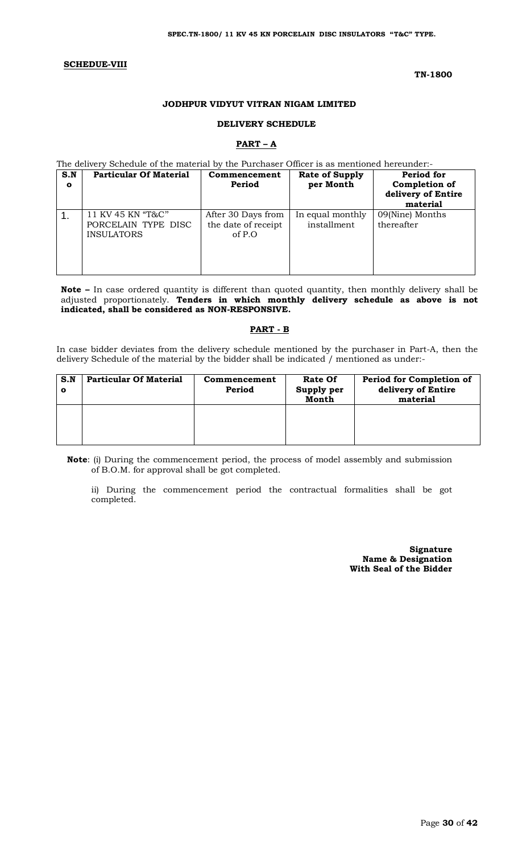#### **SCHEDUE-VIII**

#### **TN-1800**

#### **JODHPUR VIDYUT VITRAN NIGAM LIMITED**

#### **DELIVERY SCHEDULE**

#### **PART – A**

#### The delivery Schedule of the material by the Purchaser Officer is as mentioned hereunder:-

| S.N<br>$\mathbf{o}$ | <b>Particular Of Material</b>                                 | Commencement<br>Period                                | <b>Rate of Supply</b><br>per Month | <b>Period for</b><br>Completion of<br>delivery of Entire<br>material |
|---------------------|---------------------------------------------------------------|-------------------------------------------------------|------------------------------------|----------------------------------------------------------------------|
|                     | 11 KV 45 KN "T&C"<br>PORCELAIN TYPE DISC<br><b>INSULATORS</b> | After 30 Days from<br>the date of receipt<br>of $P.O$ | In equal monthly<br>installment    | 09(Nine) Months<br>thereafter                                        |

**Note –** In case ordered quantity is different than quoted quantity, then monthly delivery shall be adjusted proportionately. **Tenders in which monthly delivery schedule as above is not indicated, shall be considered as NON-RESPONSIVE.**

#### **PART - B**

In case bidder deviates from the delivery schedule mentioned by the purchaser in Part-A, then the delivery Schedule of the material by the bidder shall be indicated / mentioned as under:-

| S.N<br>О | <b>Particular Of Material</b> | Commencement<br>Period | Rate Of<br>Supply per<br>Month | Period for Completion of<br>delivery of Entire<br>material |
|----------|-------------------------------|------------------------|--------------------------------|------------------------------------------------------------|
|          |                               |                        |                                |                                                            |

**Note**: (i) During the commencement period, the process of model assembly and submission of B.O.M. for approval shall be got completed.

ii) During the commencement period the contractual formalities shall be got completed.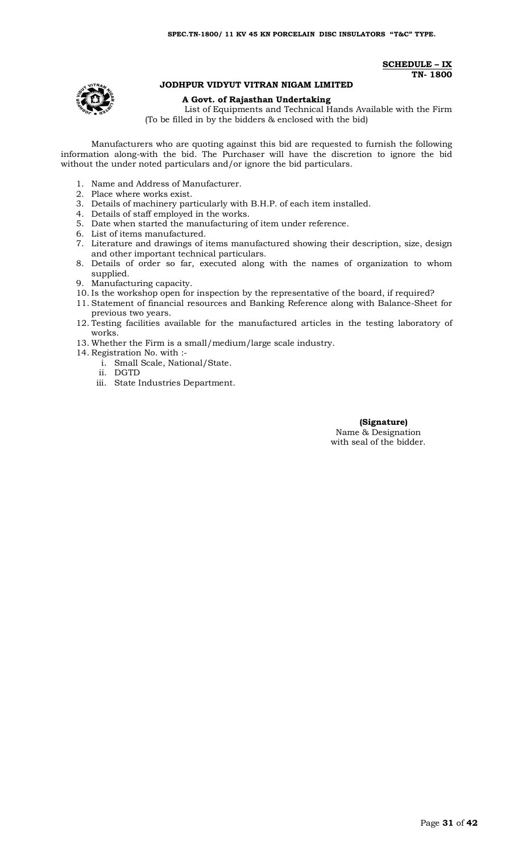**SCHEDULE – IX TN- 1800**

#### **JODHPUR VIDYUT VITRAN NIGAM LIMITED**

### **A Govt. of Rajasthan Undertaking**

List of Equipments and Technical Hands Available with the Firm (To be filled in by the bidders & enclosed with the bid)

Manufacturers who are quoting against this bid are requested to furnish the following information along-with the bid. The Purchaser will have the discretion to ignore the bid without the under noted particulars and/or ignore the bid particulars.

- 1. Name and Address of Manufacturer.
- 2. Place where works exist.
- 3. Details of machinery particularly with B.H.P. of each item installed.
- 4. Details of staff employed in the works.
- 5. Date when started the manufacturing of item under reference.
- 6. List of items manufactured.
- 7. Literature and drawings of items manufactured showing their description, size, design and other important technical particulars.
- 8. Details of order so far, executed along with the names of organization to whom supplied.
- 9. Manufacturing capacity.
- 10. Is the workshop open for inspection by the representative of the board, if required?
- 11. Statement of financial resources and Banking Reference along with Balance-Sheet for previous two years.
- 12. Testing facilities available for the manufactured articles in the testing laboratory of works.
- 13. Whether the Firm is a small/medium/large scale industry.
- 14. Registration No. with :
	- i. Small Scale, National/State.
	- ii. DGTD
	- iii. State Industries Department.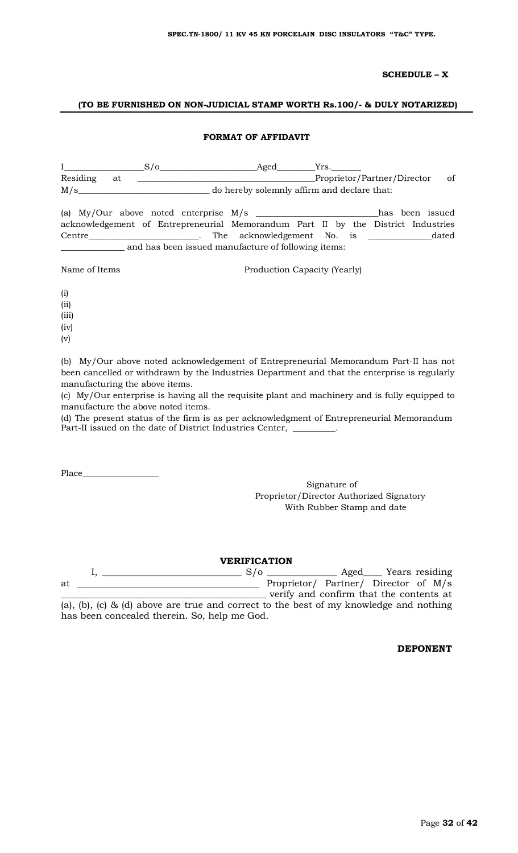## **SCHEDULE – X**

#### **(TO BE FURNISHED ON NON-JUDICIAL STAMP WORTH Rs.100/- & DULY NOTARIZED)**

#### **FORMAT OF AFFIDAVIT**

|               |    | $S/O$ Aged                                                                       |                                             |  | Yrs. |                             |               |
|---------------|----|----------------------------------------------------------------------------------|---------------------------------------------|--|------|-----------------------------|---------------|
| Residing      | at |                                                                                  |                                             |  |      | Proprietor/Partner/Director | <sub>of</sub> |
| M/s           |    |                                                                                  | do hereby solemnly affirm and declare that: |  |      |                             |               |
|               |    |                                                                                  |                                             |  |      |                             |               |
|               |    | acknowledgement of Entrepreneurial Memorandum Part II by the District Industries |                                             |  |      |                             |               |
|               |    |                                                                                  |                                             |  |      |                             |               |
|               |    | and has been issued manufacture of following items:                              |                                             |  |      |                             |               |
| Name of Items |    |                                                                                  | Production Capacity (Yearly)                |  |      |                             |               |

(i) (ii)

(iii)

(iv)

(v)

(b) My/Our above noted acknowledgement of Entrepreneurial Memorandum Part-II has not been cancelled or withdrawn by the Industries Department and that the enterprise is regularly manufacturing the above items.

(c) My/Our enterprise is having all the requisite plant and machinery and is fully equipped to manufacture the above noted items.

(d) The present status of the firm is as per acknowledgment of Entrepreneurial Memorandum Part-II issued on the date of District Industries Center,

Place\_\_\_\_\_\_\_\_\_\_\_\_\_\_\_\_\_\_

Signature of Proprietor/Director Authorized Signatory With Rubber Stamp and date

## **VERIFICATION**

|    |  |                                                                                        |  |  | $S/\sigma$ |  |  | Aged Years residing                     |  |  |
|----|--|----------------------------------------------------------------------------------------|--|--|------------|--|--|-----------------------------------------|--|--|
| at |  |                                                                                        |  |  |            |  |  | Proprietor/ Partner/ Director of M/s    |  |  |
|    |  |                                                                                        |  |  |            |  |  | verify and confirm that the contents at |  |  |
|    |  | (a), (b), (c) & (d) above are true and correct to the best of my knowledge and nothing |  |  |            |  |  |                                         |  |  |

has been concealed therein. So, help me God.

**DEPONENT**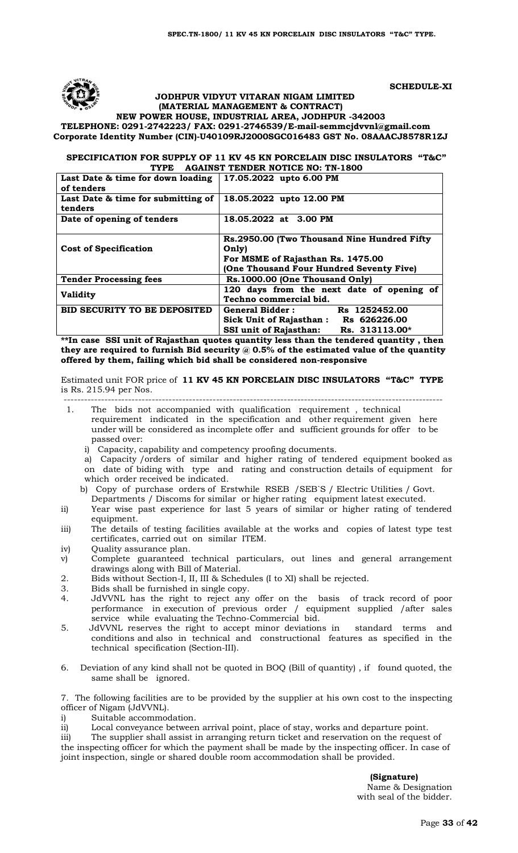

#### **SCHEDULE-XI**

#### **JODHPUR VIDYUT VITARAN NIGAM LIMITED (MATERIAL MANAGEMENT & CONTRACT)**

**NEW POWER HOUSE, INDUSTRIAL AREA, JODHPUR -342003 TELEPHONE: 0291-2742223/ FAX: 0291-2746539/E-mai[l-semmcjdvvnl@gmail.com](mailto:semmcjdvvnl@gmail.com) Corporate Identity Number (CIN)-U40109RJ2000SGC016483 GST No. 08AAACJ8578R1ZJ**

#### **SPECIFICATION FOR SUPPLY OF 11 KV 45 KN PORCELAIN DISC INSULATORS "T&C" TYPE AGAINST TENDER NOTICE NO: TN-1800**

| Last Date & time for down loading<br>of tenders | 17.05.2022 upto 6.00 PM                                                       |
|-------------------------------------------------|-------------------------------------------------------------------------------|
| Last Date & time for submitting of<br>tenders   | 18.05.2022 upto 12.00 PM                                                      |
| Date of opening of tenders                      | 18.05.2022 at 3.00 PM                                                         |
| <b>Cost of Specification</b>                    | Rs.2950.00 (Two Thousand Nine Hundred Fifty)<br>Only)                         |
|                                                 | For MSME of Rajasthan Rs. 1475.00<br>(One Thousand Four Hundred Seventy Five) |
| <b>Tender Processing fees</b>                   | Rs.1000.00 (One Thousand Only)                                                |
| <b>Validity</b>                                 | 120 days from the next date of opening of<br>Techno commercial bid.           |
| <b>BID SECURITY TO BE DEPOSITED</b>             | General Bidder:<br>Rs 1252452.00<br>Sick Unit of Rajasthan: Rs 626226.00      |
|                                                 | <b>SSI unit of Rajasthan:</b><br>Rs. 313113.00*                               |

**\*\*In case SSI unit of Rajasthan quotes quantity less than the tendered quantity , then they are required to furnish Bid security @ 0.5% of the estimated value of the quantity offered by them, failing which bid shall be considered non-responsive**

Estimated unit FOR price of **11 KV 45 KN PORCELAIN DISC INSULATORS "T&C" TYPE** is Rs. 215.94 per Nos.

- 1. The bids not accompanied with qualification requirement , technical requirement indicated in the specification and other requirement given here under will be considered as incomplete offer and sufficient grounds for offer to be passed over:
	- i) Capacity, capability and competency proofing documents.

a) Capacity /orders of similar and higher rating of tendered equipment booked as on date of biding with type and rating and construction details of equipment for which order received be indicated.

- b) Copy of purchase orders of Erstwhile RSEB /SEB`S / Electric Utilities / Govt.
- Departments / Discoms for similar or higher rating equipment latest executed.
- ii) Year wise past experience for last 5 years of similar or higher rating of tendered equipment.
- iii) The details of testing facilities available at the works and copies of latest type test certificates, carried out on similar ITEM.
- iv) Quality assurance plan.
- v) Complete guaranteed technical particulars, out lines and general arrangement drawings along with Bill of Material.
- 2. Bids without Section-I, II, III & Schedules (I to XI) shall be rejected.
- 3. Bids shall be furnished in single copy.
- 4. JdVVNL has the right to reject any offer on the basis of track record of poor performance in execution of previous order / equipment supplied /after sales service while evaluating the Techno-Commercial bid.
- 5. JdVVNL reserves the right to accept minor deviations in standard terms and conditions and also in technical and constructional features as specified in the technical specification (Section-III).
- 6. Deviation of any kind shall not be quoted in BOQ (Bill of quantity) , if found quoted, the same shall be ignored.

7. The following facilities are to be provided by the supplier at his own cost to the inspecting officer of Nigam (JdVVNL).

i) Suitable accommodation.

ii) Local conveyance between arrival point, place of stay, works and departure point.

iii) The supplier shall assist in arranging return ticket and reservation on the request of the inspecting officer for which the payment shall be made by the inspecting officer. In case of joint inspection, single or shared double room accommodation shall be provided.

 **(Signature)**

----------------------------------------------------------------------------------------------------------------

Name & Designation with seal of the bidder.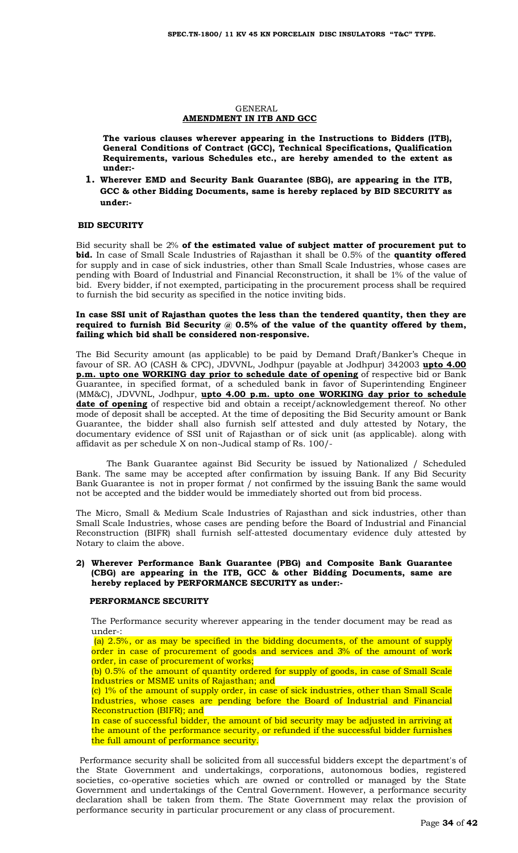#### GENERAL **AMENDMENT IN ITB AND GCC**

**The various clauses wherever appearing in the Instructions to Bidders (ITB), General Conditions of Contract (GCC), Technical Specifications, Qualification Requirements, various Schedules etc., are hereby amended to the extent as under:-**

**1. Wherever EMD and Security Bank Guarantee (SBG), are appearing in the ITB, GCC & other Bidding Documents, same is hereby replaced by BID SECURITY as under:-**

#### **BID SECURITY**

Bid security shall be 2% **of the estimated value of subject matter of procurement put to bid.** In case of Small Scale Industries of Rajasthan it shall be 0.5% of the **quantity offered** for supply and in case of sick industries, other than Small Scale Industries, whose cases are pending with Board of Industrial and Financial Reconstruction, it shall be 1% of the value of bid. Every bidder, if not exempted, participating in the procurement process shall be required to furnish the bid security as specified in the notice inviting bids.

#### **In case SSI unit of Rajasthan quotes the less than the tendered quantity, then they are required to furnish Bid Security @ 0.5% of the value of the quantity offered by them, failing which bid shall be considered non-responsive.**

The Bid Security amount (as applicable) to be paid by Demand Draft/Banker's Cheque in favour of SR. AO (CASH & CPC), JDVVNL, Jodhpur (payable at Jodhpur) 342003 **upto 4.00 p.m. upto one WORKING day prior to schedule date of opening** of respective bid or Bank Guarantee, in specified format, of a scheduled bank in favor of Superintending Engineer (MM&C), JDVVNL, Jodhpur, **upto 4.00 p.m. upto one WORKING day prior to schedule**  date of opening of respective bid and obtain a receipt/acknowledgement thereof. No other mode of deposit shall be accepted. At the time of depositing the Bid Security amount or Bank Guarantee, the bidder shall also furnish self attested and duly attested by Notary, the documentary evidence of SSI unit of Rajasthan or of sick unit (as applicable). along with affidavit as per schedule X on non-Judical stamp of Rs. 100/-

The Bank Guarantee against Bid Security be issued by Nationalized / Scheduled Bank. The same may be accepted after confirmation by issuing Bank. If any Bid Security Bank Guarantee is not in proper format / not confirmed by the issuing Bank the same would not be accepted and the bidder would be immediately shorted out from bid process.

The Micro, Small & Medium Scale Industries of Rajasthan and sick industries, other than Small Scale Industries, whose cases are pending before the Board of Industrial and Financial Reconstruction (BIFR) shall furnish self-attested documentary evidence duly attested by Notary to claim the above.

#### **2) Wherever Performance Bank Guarantee (PBG) and Composite Bank Guarantee (CBG) are appearing in the ITB, GCC & other Bidding Documents, same are hereby replaced by PERFORMANCE SECURITY as under:-**

#### **PERFORMANCE SECURITY**

The Performance security wherever appearing in the tender document may be read as under-:

(a) 2.5%, or as may be specified in the bidding documents, of the amount of supply order in case of procurement of goods and services and 3% of the amount of work order, in case of procurement of works;

(b) 0.5% of the amount of quantity ordered for supply of goods, in case of Small Scale Industries or MSME units of Rajasthan; and

(c) 1% of the amount of supply order, in case of sick industries, other than Small Scale Industries, whose cases are pending before the Board of Industrial and Financial Reconstruction (BIFR); and

In case of successful bidder, the amount of bid security may be adjusted in arriving at the amount of the performance security, or refunded if the successful bidder furnishes the full amount of performance security.

 Performance security shall be solicited from all successful bidders except the department's of the State Government and undertakings, corporations, autonomous bodies, registered societies, co-operative societies which are owned or controlled or managed by the State Government and undertakings of the Central Government. However, a performance security declaration shall be taken from them. The State Government may relax the provision of performance security in particular procurement or any class of procurement.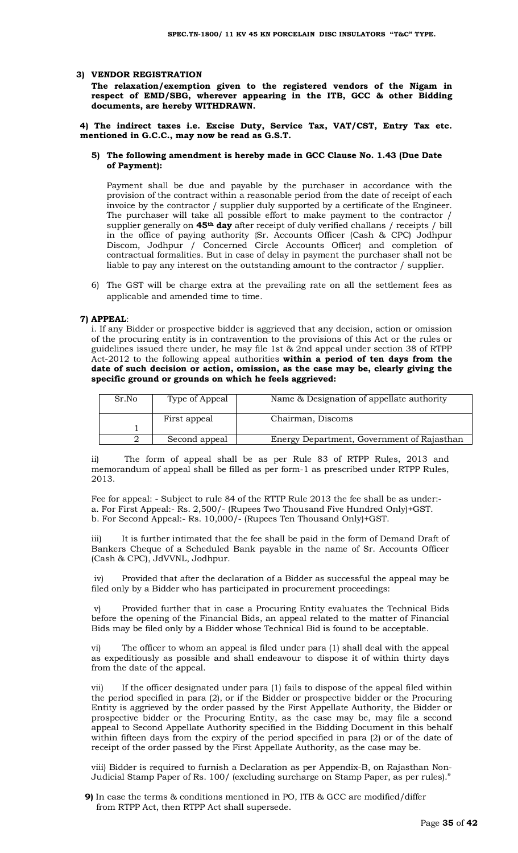#### **3) VENDOR REGISTRATION**

**The relaxation/exemption given to the registered vendors of the Nigam in respect of EMD/SBG, wherever appearing in the ITB, GCC & other Bidding documents, are hereby WITHDRAWN.** 

**4) The indirect taxes i.e. Excise Duty, Service Tax, VAT/CST, Entry Tax etc. mentioned in G.C.C., may now be read as G.S.T.** 

#### **5) The following amendment is hereby made in GCC Clause No. 1.43 (Due Date of Payment):**

Payment shall be due and payable by the purchaser in accordance with the provision of the contract within a reasonable period from the date of receipt of each invoice by the contractor / supplier duly supported by a certificate of the Engineer. The purchaser will take all possible effort to make payment to the contractor / supplier generally on **45th day** after receipt of duly verified challans / receipts / bill in the office of paying authority {Sr. Accounts Officer (Cash & CPC) Jodhpur Discom, Jodhpur / Concerned Circle Accounts Officer} and completion of contractual formalities. But in case of delay in payment the purchaser shall not be liable to pay any interest on the outstanding amount to the contractor / supplier.

6) The GST will be charge extra at the prevailing rate on all the settlement fees as applicable and amended time to time.

#### **7) APPEAL**:

i. If any Bidder or prospective bidder is aggrieved that any decision, action or omission of the procuring entity is in contravention to the provisions of this Act or the rules or guidelines issued there under, he may file 1st & 2nd appeal under section 38 of RTPP Act-2012 to the following appeal authorities **within a period of ten days from the date of such decision or action, omission, as the case may be, clearly giving the specific ground or grounds on which he feels aggrieved:** 

| Sr.No | Type of Appeal | Name & Designation of appellate authority  |
|-------|----------------|--------------------------------------------|
|       | First appeal   | Chairman, Discoms                          |
|       |                |                                            |
|       | Second appeal  | Energy Department, Government of Rajasthan |

ii) The form of appeal shall be as per Rule 83 of RTPP Rules, 2013 and memorandum of appeal shall be filled as per form-1 as prescribed under RTPP Rules, 2013.

Fee for appeal: - Subject to rule 84 of the RTTP Rule 2013 the fee shall be as under: a. For First Appeal:- Rs. 2,500/- (Rupees Two Thousand Five Hundred Only)+GST. b. For Second Appeal:- Rs. 10,000/- (Rupees Ten Thousand Only)+GST.

iii) It is further intimated that the fee shall be paid in the form of Demand Draft of Bankers Cheque of a Scheduled Bank payable in the name of Sr. Accounts Officer (Cash & CPC), JdVVNL, Jodhpur.

iv) Provided that after the declaration of a Bidder as successful the appeal may be filed only by a Bidder who has participated in procurement proceedings:

v) Provided further that in case a Procuring Entity evaluates the Technical Bids before the opening of the Financial Bids, an appeal related to the matter of Financial Bids may be filed only by a Bidder whose Technical Bid is found to be acceptable.

vi) The officer to whom an appeal is filed under para (1) shall deal with the appeal as expeditiously as possible and shall endeavour to dispose it of within thirty days from the date of the appeal.

vii) If the officer designated under para (1) fails to dispose of the appeal filed within the period specified in para (2), or if the Bidder or prospective bidder or the Procuring Entity is aggrieved by the order passed by the First Appellate Authority, the Bidder or prospective bidder or the Procuring Entity, as the case may be, may file a second appeal to Second Appellate Authority specified in the Bidding Document in this behalf within fifteen days from the expiry of the period specified in para (2) or of the date of receipt of the order passed by the First Appellate Authority, as the case may be.

viii) Bidder is required to furnish a Declaration as per Appendix-B, on Rajasthan Non-Judicial Stamp Paper of Rs. 100/ (excluding surcharge on Stamp Paper, as per rules)."

**9)** In case the terms & conditions mentioned in PO, ITB & GCC are modified/differ from RTPP Act, then RTPP Act shall supersede.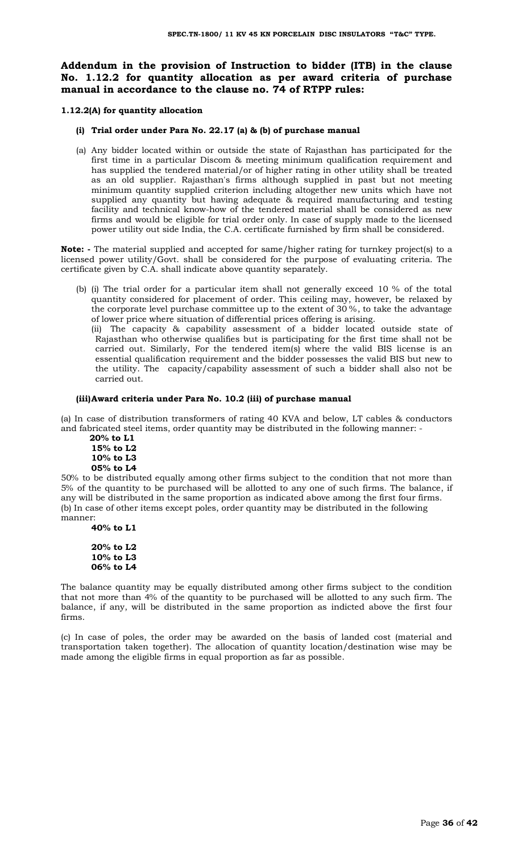## **Addendum in the provision of Instruction to bidder (ITB) in the clause No. 1.12.2 for quantity allocation as per award criteria of purchase manual in accordance to the clause no. 74 of RTPP rules:**

**1.12.2(A) for quantity allocation**

- **(i) Trial order under Para No. 22.17 (a) & (b) of purchase manual**
- (a) Any bidder located within or outside the state of Rajasthan has participated for the first time in a particular Discom & meeting minimum qualification requirement and has supplied the tendered material/or of higher rating in other utility shall be treated as an old supplier. Rajasthan's firms although supplied in past but not meeting minimum quantity supplied criterion including altogether new units which have not supplied any quantity but having adequate & required manufacturing and testing facility and technical know-how of the tendered material shall be considered as new firms and would be eligible for trial order only. In case of supply made to the licensed power utility out side India, the C.A. certificate furnished by firm shall be considered.

**Note: -** The material supplied and accepted for same/higher rating for turnkey project(s) to a licensed power utility/Govt. shall be considered for the purpose of evaluating criteria. The certificate given by C.A. shall indicate above quantity separately.

(b) (i) The trial order for a particular item shall not generally exceed 10 % of the total quantity considered for placement of order. This ceiling may, however, be relaxed by the corporate level purchase committee up to the extent of 30 %, to take the advantage of lower price where situation of differential prices offering is arising.

(ii) The capacity & capability assessment of a bidder located outside state of Rajasthan who otherwise qualifies but is participating for the first time shall not be carried out. Similarly, For the tendered item(s) where the valid BIS license is an essential qualification requirement and the bidder possesses the valid BIS but new to the utility. The capacity/capability assessment of such a bidder shall also not be carried out.

#### **(iii)Award criteria under Para No. 10.2 (iii) of purchase manual**

(a) In case of distribution transformers of rating 40 KVA and below, LT cables & conductors and fabricated steel items, order quantity may be distributed in the following manner: -

 **20% to L1 15% to L2 10% to L3 05% to L4**

50% to be distributed equally among other firms subject to the condition that not more than 5% of the quantity to be purchased will be allotted to any one of such firms. The balance, if any will be distributed in the same proportion as indicated above among the first four firms. (b) In case of other items except poles, order quantity may be distributed in the following manner:

**40% to L1**

**20% to L2 10% to L3 06% to L4**

The balance quantity may be equally distributed among other firms subject to the condition that not more than 4% of the quantity to be purchased will be allotted to any such firm. The balance, if any, will be distributed in the same proportion as indicted above the first four firms.

(c) In case of poles, the order may be awarded on the basis of landed cost (material and transportation taken together). The allocation of quantity location/destination wise may be made among the eligible firms in equal proportion as far as possible.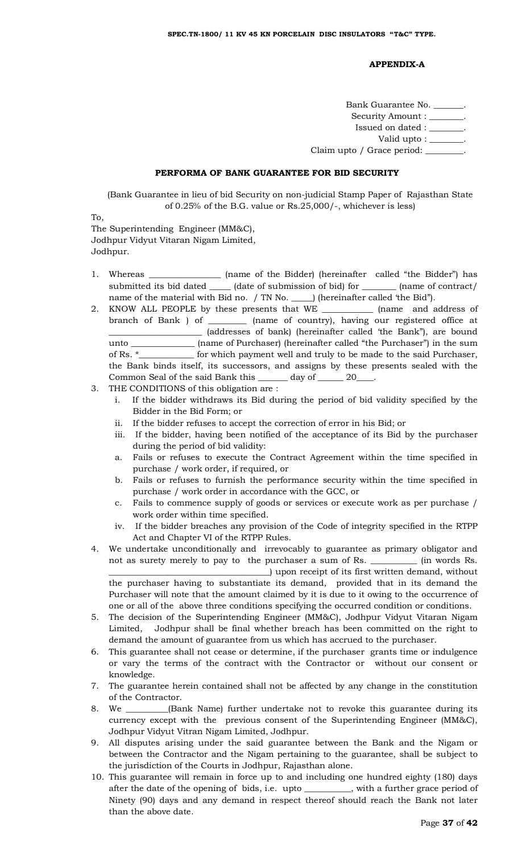#### **APPENDIX-A**

Bank Guarantee No. \_\_\_\_\_\_\_. Security Amount : \_\_\_\_\_\_\_. Issued on dated : \_\_\_\_\_\_\_\_. Valid upto : \_\_\_\_\_\_\_. Claim upto / Grace period: \_\_\_\_\_\_\_\_\_

#### **PERFORMA OF BANK GUARANTEE FOR BID SECURITY**

(Bank Guarantee in lieu of bid Security on non-judicial Stamp Paper of Rajasthan State of 0.25% of the B.G. value or Rs.25,000/-, whichever is less)

To,

The Superintending Engineer (MM&C), Jodhpur Vidyut Vitaran Nigam Limited, Jodhpur.

- 1. Whereas \_\_\_\_\_\_\_\_\_\_\_\_\_\_\_\_\_ (name of the Bidder) (hereinafter called "the Bidder") has submitted its bid dated \_\_\_\_\_\_ (date of submission of bid) for \_\_\_\_\_\_\_\_\_ (name of contract/ name of the material with Bid no. / TN No. \_\_\_\_\_) (hereinafter called 'the Bid").
- 2. KNOW ALL PEOPLE by these presents that WE \_\_\_\_\_\_\_\_\_\_\_\_ (name and address of branch of Bank ) of \_\_\_\_\_\_\_\_\_ (name of country), having our registered office at \_\_\_\_\_\_\_\_\_\_\_\_\_\_\_\_\_\_\_\_\_\_ (addresses of bank) (hereinafter called 'the Bank"), are bound unto \_\_\_\_\_\_\_\_\_\_\_\_\_\_\_\_\_ (name of Purchaser) (hereinafter called "the Purchaser") in the sum of Rs. \*\_\_\_\_\_\_\_\_\_\_\_\_\_ for which payment well and truly to be made to the said Purchaser, the Bank binds itself, its successors, and assigns by these presents sealed with the Common Seal of the said Bank this \_\_\_\_\_\_\_ day of \_\_\_\_\_\_ 20\_\_\_\_.
- 3. THE CONDITIONS of this obligation are :
	- i. If the bidder withdraws its Bid during the period of bid validity specified by the Bidder in the Bid Form; or
	- ii. If the bidder refuses to accept the correction of error in his Bid; or
	- iii. If the bidder, having been notified of the acceptance of its Bid by the purchaser during the period of bid validity:
	- a. Fails or refuses to execute the Contract Agreement within the time specified in purchase / work order, if required, or
	- b. Fails or refuses to furnish the performance security within the time specified in purchase / work order in accordance with the GCC, or
	- c. Fails to commence supply of goods or services or execute work as per purchase / work order within time specified.
	- iv. If the bidder breaches any provision of the Code of integrity specified in the RTPP Act and Chapter VI of the RTPP Rules.
- 4. We undertake unconditionally and irrevocably to guarantee as primary obligator and not as surety merely to pay to the purchaser a sum of Rs. \_\_\_\_\_\_\_\_\_\_\_ (in words Rs. \_\_\_\_\_\_\_\_\_\_\_\_\_\_\_\_\_\_\_\_\_\_\_\_\_\_\_\_\_\_\_\_\_\_\_\_\_\_) upon receipt of its first written demand, without the purchaser having to substantiate its demand, provided that in its demand the Purchaser will note that the amount claimed by it is due to it owing to the occurrence of one or all of the above three conditions specifying the occurred condition or conditions.
- 5. The decision of the Superintending Engineer (MM&C), Jodhpur Vidyut Vitaran Nigam Limited, Jodhpur shall be final whether breach has been committed on the right to demand the amount of guarantee from us which has accrued to the purchaser.
- 6. This guarantee shall not cease or determine, if the purchaser grants time or indulgence or vary the terms of the contract with the Contractor or without our consent or knowledge.
- 7. The guarantee herein contained shall not be affected by any change in the constitution of the Contractor.
- 8. We \_\_\_\_\_\_\_\_\_\_(Bank Name) further undertake not to revoke this guarantee during its currency except with the previous consent of the Superintending Engineer (MM&C), Jodhpur Vidyut Vitran Nigam Limited, Jodhpur.
- 9. All disputes arising under the said guarantee between the Bank and the Nigam or between the Contractor and the Nigam pertaining to the guarantee, shall be subject to the jurisdiction of the Courts in Jodhpur, Rajasthan alone.
- 10. This guarantee will remain in force up to and including one hundred eighty (180) days after the date of the opening of bids, i.e. upto \_\_\_\_\_\_\_\_\_\_\_, with a further grace period of Ninety (90) days and any demand in respect thereof should reach the Bank not later than the above date.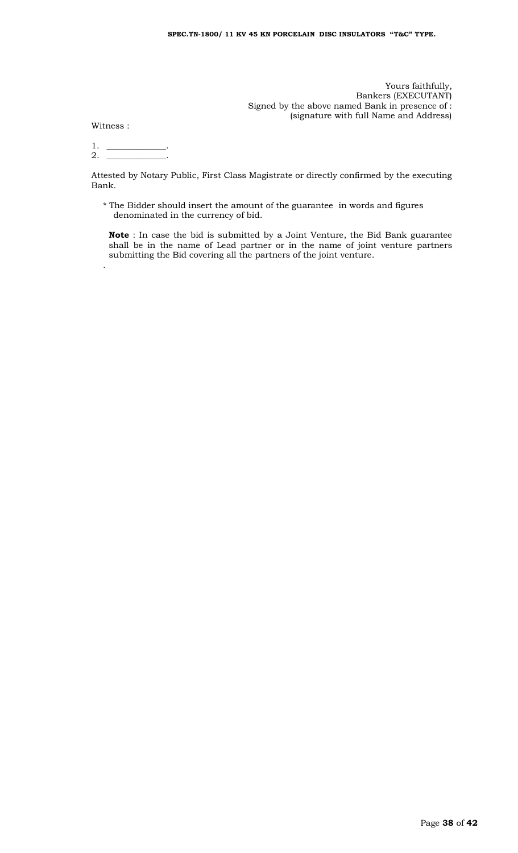Yours faithfully, Bankers (EXECUTANT) Signed by the above named Bank in presence of : (signature with full Name and Address)

Witness :

.

 $1.$  \_ 2. \_\_\_\_\_\_\_\_\_\_\_\_\_\_.

Attested by Notary Public, First Class Magistrate or directly confirmed by the executing Bank.

\* The Bidder should insert the amount of the guarantee in words and figures denominated in the currency of bid.

**Note** : In case the bid is submitted by a Joint Venture, the Bid Bank guarantee shall be in the name of Lead partner or in the name of joint venture partners submitting the Bid covering all the partners of the joint venture.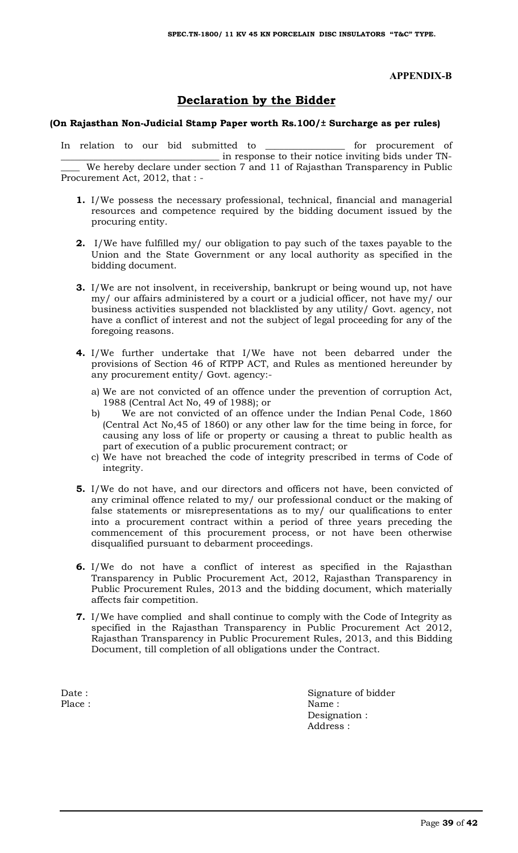## **APPENDIX-B**

# **Declaration by the Bidder**

## **(On Rajasthan Non-Judicial Stamp Paper worth Rs.100/± Surcharge as per rules)**

In relation to our bid submitted to \_\_\_\_\_\_\_\_\_\_\_\_\_\_\_\_\_ for procurement of \_\_\_\_\_\_\_\_\_\_\_\_\_\_\_\_\_\_\_\_\_\_\_\_\_\_\_\_\_\_\_\_\_\_ in response to their notice inviting bids under TN- \_\_\_\_ We hereby declare under section 7 and 11 of Rajasthan Transparency in Public Procurement Act, 2012, that : -

- **1.** I/We possess the necessary professional, technical, financial and managerial resources and competence required by the bidding document issued by the procuring entity.
- **2.** I/We have fulfilled my/ our obligation to pay such of the taxes payable to the Union and the State Government or any local authority as specified in the bidding document.
- **3.** I/We are not insolvent, in receivership, bankrupt or being wound up, not have my/ our affairs administered by a court or a judicial officer, not have my/ our business activities suspended not blacklisted by any utility/ Govt. agency, not have a conflict of interest and not the subject of legal proceeding for any of the foregoing reasons.
- **4.** I/We further undertake that I/We have not been debarred under the provisions of Section 46 of RTPP ACT, and Rules as mentioned hereunder by any procurement entity/ Govt. agency:
	- a) We are not convicted of an offence under the prevention of corruption Act, 1988 (Central Act No, 49 of 1988); or
	- b) We are not convicted of an offence under the Indian Penal Code, 1860 (Central Act No,45 of 1860) or any other law for the time being in force, for causing any loss of life or property or causing a threat to public health as part of execution of a public procurement contract; or
	- c) We have not breached the code of integrity prescribed in terms of Code of integrity.
- **5.** I/We do not have, and our directors and officers not have, been convicted of any criminal offence related to my/ our professional conduct or the making of false statements or misrepresentations as to my/ our qualifications to enter into a procurement contract within a period of three years preceding the commencement of this procurement process, or not have been otherwise disqualified pursuant to debarment proceedings.
- **6.** I/We do not have a conflict of interest as specified in the Rajasthan Transparency in Public Procurement Act, 2012, Rajasthan Transparency in Public Procurement Rules, 2013 and the bidding document, which materially affects fair competition.
- **7.** I/We have complied and shall continue to comply with the Code of Integrity as specified in the Rajasthan Transparency in Public Procurement Act 2012, Rajasthan Transparency in Public Procurement Rules, 2013, and this Bidding Document, till completion of all obligations under the Contract.

Date : Signature of bidder Place : Name : Name : Name : Name : Name : Name : Name : Name : Name : Name : Name : Name : Name : Name : Name : Name : Name : Name : Name : Name : Name : Name : Name : Name : Name : Name : Name : Name : Name : Name : Name Designation : Address :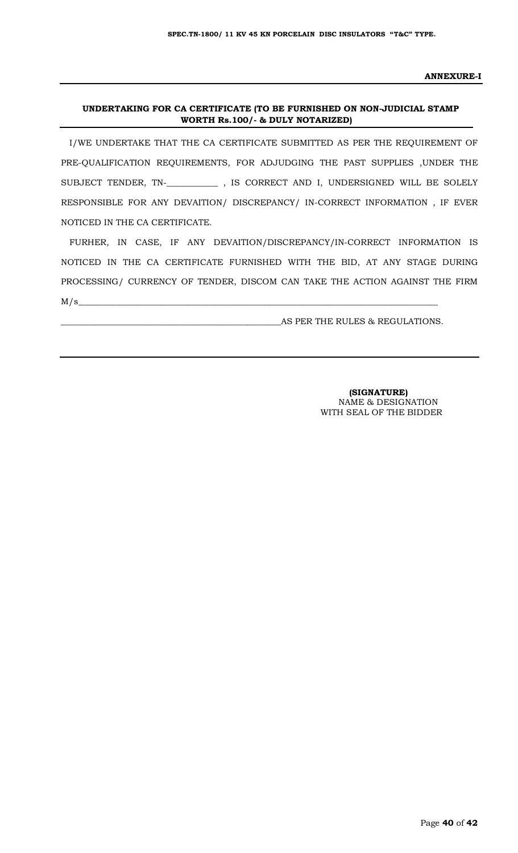#### **ANNEXURE-I**

### **UNDERTAKING FOR CA CERTIFICATE (TO BE FURNISHED ON NON-JUDICIAL STAMP WORTH Rs.100/- & DULY NOTARIZED)**

I/WE UNDERTAKE THAT THE CA CERTIFICATE SUBMITTED AS PER THE REQUIREMENT OF PRE-QUALIFICATION REQUIREMENTS, FOR ADJUDGING THE PAST SUPPLIES ,UNDER THE SUBJECT TENDER, TN-\_**\_\_\_\_\_\_\_\_\_\_\_** , IS CORRECT AND I, UNDERSIGNED WILL BE SOLELY RESPONSIBLE FOR ANY DEVAITION/ DISCREPANCY/ IN-CORRECT INFORMATION , IF EVER NOTICED IN THE CA CERTIFICATE.

FURHER, IN CASE, IF ANY DEVAITION/DISCREPANCY/IN-CORRECT INFORMATION IS NOTICED IN THE CA CERTIFICATE FURNISHED WITH THE BID, AT ANY STAGE DURING PROCESSING/ CURRENCY OF TENDER, DISCOM CAN TAKE THE ACTION AGAINST THE FIRM  $M/s$   $\sim$ 

AS PER THE RULES & REGULATIONS.

 **(SIGNATURE)** NAME & DESIGNATION WITH SEAL OF THE BIDDER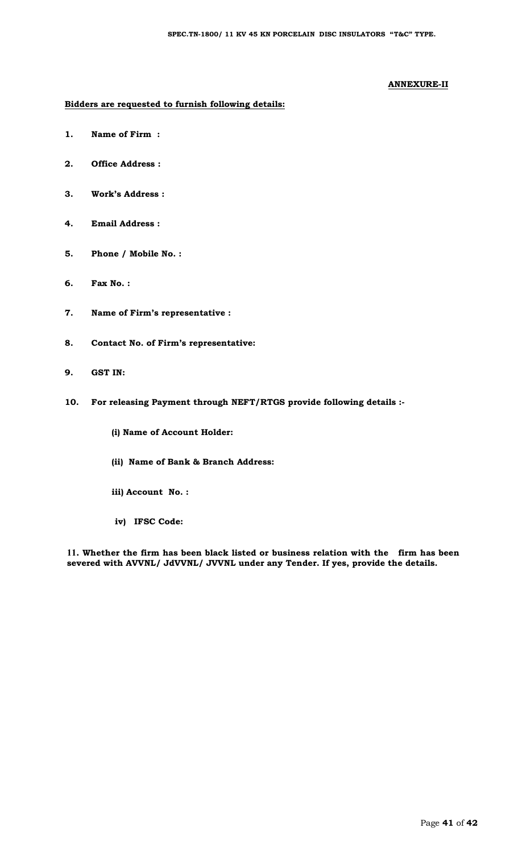#### **ANNEXURE-II**

#### **Bidders are requested to furnish following details:**

- **1. Name of Firm :**
- **2. Office Address :**
- **3. Work's Address :**
- **4. Email Address :**
- **5. Phone / Mobile No. :**
- **6. Fax No. :**
- **7. Name of Firm's representative :**
- **8. Contact No. of Firm's representative:**
- **9. GST IN:**
- **10. For releasing Payment through NEFT/RTGS provide following details :-**
	- **(i) Name of Account Holder:**
	- **(ii) Name of Bank & Branch Address:**
	- **iii) Account No. :**
	- **iv) IFSC Code:**

**11. Whether the firm has been black listed or business relation with the firm has been severed with AVVNL/ JdVVNL/ JVVNL under any Tender. If yes, provide the details.**